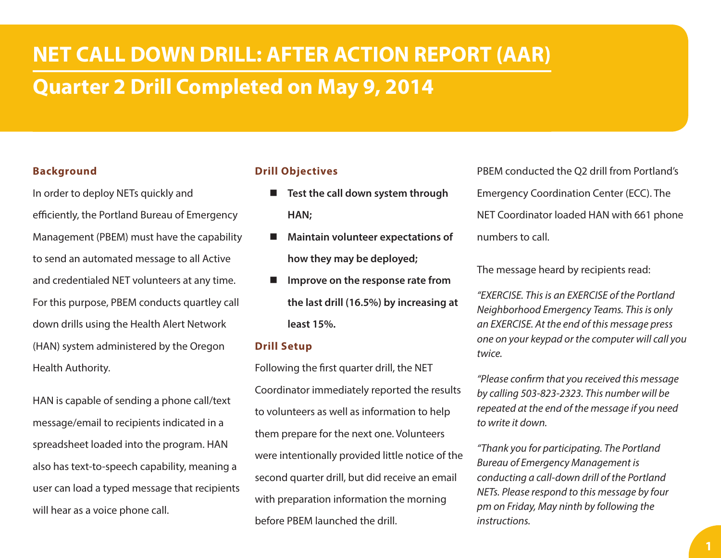# **NET CALL DOWN DRILL: AFTER ACTION REPORT (AAR) Quarter 2 Drill Completed on May 9, 2014**

### **Background**

In order to deploy NETs quickly and efficiently, the Portland Bureau of Emergency Management (PBEM) must have the capability to send an automated message to all Active and credentialed NET volunteers at any time. For this purpose, PBEM conducts quartley call down drills using the Health Alert Network (HAN) system administered by the Oregon Health Authority.

HAN is capable of sending a phone call/text message/email to recipients indicated in a spreadsheet loaded into the program. HAN also has text-to-speech capability, meaning a user can load a typed message that recipients will hear as a voice phone call.

### **Drill Objectives**

- Test the call down system through **HAN;**
- **Maintain volunteer expectations of how they may be deployed;**
- **Improve on the response rate from the last drill (16.5%) by increasing at least 15%.**

### **Drill Setup**

Following the first quarter drill, the NET Coordinator immediately reported the results to volunteers as well as information to help them prepare for the next one. Volunteers were intentionally provided little notice of the second quarter drill, but did receive an email with preparation information the morning before PBEM launched the drill.

PBEM conducted the Q2 drill from Portland's Emergency Coordination Center (ECC). The NET Coordinator loaded HAN with 661 phone numbers to call.

The message heard by recipients read:

*"EXERCISE. This is an EXERCISE of the Portland Neighborhood Emergency Teams. This is only an EXERCISE. At the end of this message press one on your keypad or the computer will call you twice.*

*"Please confirm that you received this message by calling 503-823-2323. This number will be repeated at the end of the message if you need to write it down.*

*"Thank you for participating. The Portland Bureau of Emergency Management is conducting a call-down drill of the Portland NETs. Please respond to this message by four pm on Friday, May ninth by following the instructions.*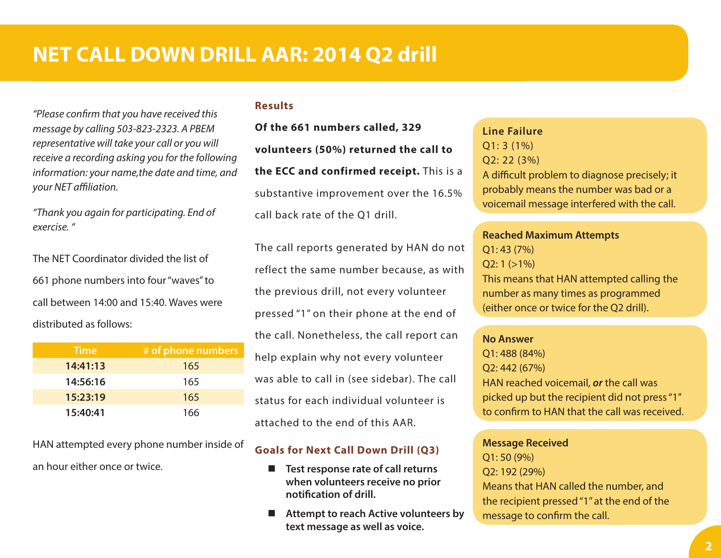# **NET CALL DOWN DRILL AAR: 2014 Q2 drill**

*"Please confirm that you have received this message by calling 503-823-2323. A PBEM representative will take your call or you will receive a recording asking you for the following information: your name,the date and time, and your NET affiliation.*

*"Thank you again for participating. End of exercise. "*

The NET Coordinator divided the list of 661 phone numbers into four "waves" to call between 14:00 and 15:40. Waves were distributed as follows:

| <b>Time</b> | # of phone numbers |
|-------------|--------------------|
| 14:41:13    | 165                |
| 14:56:16    | 165                |
| 15:23:19    | 165                |
| 15:40:41    | 166                |

HAN attempted every phone number inside of an hour either once or twice.

#### **Results**

**Of the 661 numbers called, 329 volunteers (50%) returned the call to the ECC and confirmed receipt.** This is a substantive improvement over the 16.5% call back rate of the Q1 drill.

The call reports generated by HAN do not reflect the same number because, as with the previous drill, not every volunteer pressed "1" on their phone at the end of the call. Nonetheless, the call report can help explain why not every volunteer was able to call in (see sidebar). The call status for each individual volunteer is attached to the end of this AAR.

### **Goals for Next Call Down Drill (Q3)**

- Test response rate of call returns **when volunteers receive no prior notification of drill.**
- Attempt to reach Active volunteers by **text message as well as voice.**

**Line Failure** Q1: 3 (1%) Q2: 22 (3%) A difficult problem to diagnose precisely; it probably means the number was bad or a voicemail message interfered with the call.

**Reached Maximum Attempts** Q1: 43 (7%)  $Q2: 1 (>1%)$ This means that HAN attempted calling the number as many times as programmed (either once or twice for the Q2 drill).

## **No Answer** Q1: 488 (84%) Q2: 442 (67%) HAN reached voicemail, *or* the call was picked up but the recipient did not press "1" to confirm to HAN that the call was received.

**Message Received** Q1: 50 (9%) Q2: 192 (29%) Means that HAN called the number, and the recipient pressed "1" at the end of the message to confirm the call.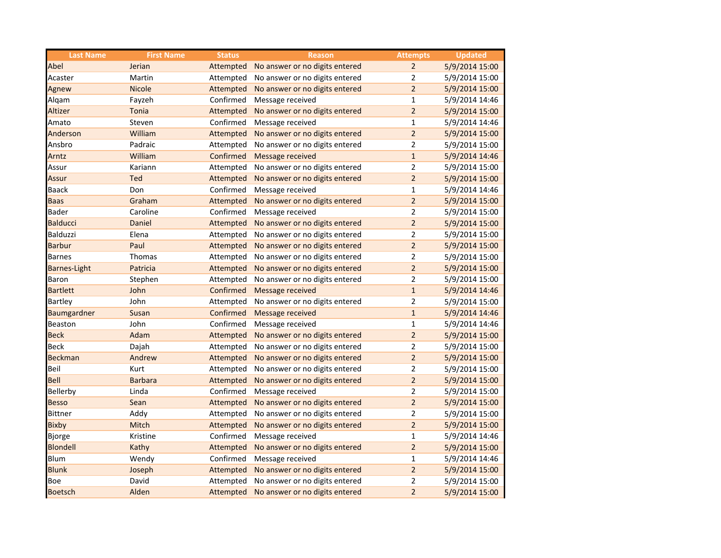| <b>Last Name</b>    | <b>First Name</b> | <b>Status</b> | <b>Reason</b>                  | <b>Attempts</b> | <b>Updated</b> |
|---------------------|-------------------|---------------|--------------------------------|-----------------|----------------|
| Abel                | Jerian            | Attempted     | No answer or no digits entered | $\overline{2}$  | 5/9/2014 15:00 |
| Acaster             | Martin            | Attempted     | No answer or no digits entered | $\overline{2}$  | 5/9/2014 15:00 |
| Agnew               | <b>Nicole</b>     | Attempted     | No answer or no digits entered | $\overline{2}$  | 5/9/2014 15:00 |
| Alqam               | Fayzeh            | Confirmed     | Message received               | $\mathbf{1}$    | 5/9/2014 14:46 |
| Altizer             | Tonia             | Attempted     | No answer or no digits entered | $\overline{a}$  | 5/9/2014 15:00 |
| Amato               | Steven            | Confirmed     | Message received               | $\mathbf{1}$    | 5/9/2014 14:46 |
| Anderson            | William           | Attempted     | No answer or no digits entered | $\overline{a}$  | 5/9/2014 15:00 |
| Ansbro              | Padraic           | Attempted     | No answer or no digits entered | $\overline{2}$  | 5/9/2014 15:00 |
| Arntz               | William           | Confirmed     | Message received               | $\mathbf{1}$    | 5/9/2014 14:46 |
| Assur               | Kariann           | Attempted     | No answer or no digits entered | $\overline{2}$  | 5/9/2014 15:00 |
| <b>Assur</b>        | Ted               | Attempted     | No answer or no digits entered | $\overline{2}$  | 5/9/2014 15:00 |
| <b>Baack</b>        | Don               | Confirmed     | Message received               | $\mathbf{1}$    | 5/9/2014 14:46 |
| <b>Baas</b>         | Graham            | Attempted     | No answer or no digits entered | $\overline{2}$  | 5/9/2014 15:00 |
| Bader               | Caroline          | Confirmed     | Message received               | $\overline{2}$  | 5/9/2014 15:00 |
| <b>Balducci</b>     | Daniel            | Attempted     | No answer or no digits entered | $\overline{2}$  | 5/9/2014 15:00 |
| Balduzzi            | Elena             | Attempted     | No answer or no digits entered | $\overline{2}$  | 5/9/2014 15:00 |
| <b>Barbur</b>       | Paul              | Attempted     | No answer or no digits entered | $\overline{2}$  | 5/9/2014 15:00 |
| <b>Barnes</b>       | Thomas            | Attempted     | No answer or no digits entered | $\overline{2}$  | 5/9/2014 15:00 |
| <b>Barnes-Light</b> | Patricia          | Attempted     | No answer or no digits entered | $\overline{2}$  | 5/9/2014 15:00 |
| Baron               | Stephen           | Attempted     | No answer or no digits entered | $\overline{2}$  | 5/9/2014 15:00 |
| <b>Bartlett</b>     | John              | Confirmed     | Message received               | $\mathbf{1}$    | 5/9/2014 14:46 |
| Bartley             | John              | Attempted     | No answer or no digits entered | $\overline{2}$  | 5/9/2014 15:00 |
| Baumgardner         | Susan             | Confirmed     | Message received               | $\mathbf{1}$    | 5/9/2014 14:46 |
| Beaston             | John              | Confirmed     | Message received               | $\mathbf{1}$    | 5/9/2014 14:46 |
| <b>Beck</b>         | Adam              | Attempted     | No answer or no digits entered | $\overline{2}$  | 5/9/2014 15:00 |
| <b>Beck</b>         | Dajah             | Attempted     | No answer or no digits entered | $\overline{2}$  | 5/9/2014 15:00 |
| <b>Beckman</b>      | Andrew            | Attempted     | No answer or no digits entered | $\overline{2}$  | 5/9/2014 15:00 |
| Beil                | Kurt              | Attempted     | No answer or no digits entered | $\overline{2}$  | 5/9/2014 15:00 |
| Bell                | <b>Barbara</b>    | Attempted     | No answer or no digits entered | $\overline{2}$  | 5/9/2014 15:00 |
| Bellerby            | Linda             | Confirmed     | Message received               | $\overline{2}$  | 5/9/2014 15:00 |
| <b>Besso</b>        | Sean              | Attempted     | No answer or no digits entered | $\overline{2}$  | 5/9/2014 15:00 |
| <b>Bittner</b>      | Addy              | Attempted     | No answer or no digits entered | $\overline{2}$  | 5/9/2014 15:00 |
| <b>Bixby</b>        | Mitch             | Attempted     | No answer or no digits entered | $\overline{2}$  | 5/9/2014 15:00 |
| Bjorge              | Kristine          | Confirmed     | Message received               | $\mathbf{1}$    | 5/9/2014 14:46 |
| <b>Blondell</b>     | Kathy             | Attempted     | No answer or no digits entered | $\overline{2}$  | 5/9/2014 15:00 |
| <b>Blum</b>         | Wendy             | Confirmed     | Message received               | 1               | 5/9/2014 14:46 |
| <b>Blunk</b>        | Joseph            | Attempted     | No answer or no digits entered | $\overline{2}$  | 5/9/2014 15:00 |
| Boe                 | David             | Attempted     | No answer or no digits entered | $\overline{2}$  | 5/9/2014 15:00 |
| <b>Boetsch</b>      | Alden             | Attempted     | No answer or no digits entered | $\overline{2}$  | 5/9/2014 15:00 |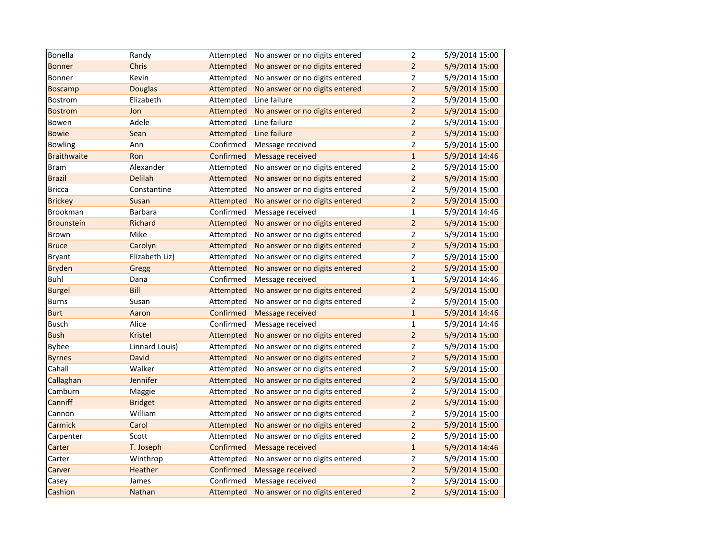| Bonella            | Randy          | Attempted | No answer or no digits entered | $\overline{2}$ | 5/9/2014 15:00 |
|--------------------|----------------|-----------|--------------------------------|----------------|----------------|
| <b>Bonner</b>      | Chris          | Attempted | No answer or no digits entered | $\overline{2}$ | 5/9/2014 15:00 |
| Bonner             | Kevin          | Attempted | No answer or no digits entered | $\overline{2}$ | 5/9/2014 15:00 |
| <b>Boscamp</b>     | <b>Douglas</b> | Attempted | No answer or no digits entered | $\overline{2}$ | 5/9/2014 15:00 |
| <b>Bostrom</b>     | Elizabeth      | Attempted | Line failure                   | $\overline{2}$ | 5/9/2014 15:00 |
| <b>Bostrom</b>     | Jon            | Attempted | No answer or no digits entered | $\overline{2}$ | 5/9/2014 15:00 |
| Bowen              | Adele          | Attempted | Line failure                   | $\overline{2}$ | 5/9/2014 15:00 |
| <b>Bowie</b>       | Sean           | Attempted | Line failure                   | $\overline{a}$ | 5/9/2014 15:00 |
| <b>Bowling</b>     | Ann            | Confirmed | Message received               | $\overline{2}$ | 5/9/2014 15:00 |
| <b>Braithwaite</b> | Ron            | Confirmed | Message received               | $\mathbf{1}$   | 5/9/2014 14:46 |
| <b>Bram</b>        | Alexander      | Attempted | No answer or no digits entered | $\mathbf 2$    | 5/9/2014 15:00 |
| <b>Brazil</b>      | Delilah        | Attempted | No answer or no digits entered | $\overline{2}$ | 5/9/2014 15:00 |
| <b>Bricca</b>      | Constantine    | Attempted | No answer or no digits entered | $\overline{2}$ | 5/9/2014 15:00 |
| <b>Brickey</b>     | Susan          | Attempted | No answer or no digits entered | $\overline{2}$ | 5/9/2014 15:00 |
| Brookman           | Barbara        | Confirmed | Message received               | $\mathbf{1}$   | 5/9/2014 14:46 |
| <b>Brounstein</b>  | Richard        | Attempted | No answer or no digits entered | $\overline{2}$ | 5/9/2014 15:00 |
| Brown              | Mike           | Attempted | No answer or no digits entered | $\overline{2}$ | 5/9/2014 15:00 |
| <b>Bruce</b>       | Carolyn        | Attempted | No answer or no digits entered | $\overline{2}$ | 5/9/2014 15:00 |
| <b>Bryant</b>      | Elizabeth Liz) | Attempted | No answer or no digits entered | $\mathbf 2$    | 5/9/2014 15:00 |
| <b>Bryden</b>      | Gregg          | Attempted | No answer or no digits entered | $\overline{2}$ | 5/9/2014 15:00 |
| <b>Buhl</b>        | Dana           | Confirmed | Message received               | $\mathbf{1}$   | 5/9/2014 14:46 |
| <b>Burgel</b>      | Bill           | Attempted | No answer or no digits entered | $\overline{2}$ | 5/9/2014 15:00 |
| <b>Burns</b>       | Susan          | Attempted | No answer or no digits entered | $\overline{2}$ | 5/9/2014 15:00 |
| <b>Burt</b>        | Aaron          | Confirmed | Message received               | $\mathbf{1}$   | 5/9/2014 14:46 |
| <b>Busch</b>       | Alice          | Confirmed | Message received               | $\mathbf 1$    | 5/9/2014 14:46 |
| <b>Bush</b>        | Kristel        | Attempted | No answer or no digits entered | $\overline{2}$ | 5/9/2014 15:00 |
| <b>Bybee</b>       | Linnard Louis) | Attempted | No answer or no digits entered | 2              | 5/9/2014 15:00 |
| <b>Byrnes</b>      | David          | Attempted | No answer or no digits entered | $\overline{2}$ | 5/9/2014 15:00 |
| Cahall             | Walker         | Attempted | No answer or no digits entered | $\overline{2}$ | 5/9/2014 15:00 |
| Callaghan          | Jennifer       | Attempted | No answer or no digits entered | $\overline{2}$ | 5/9/2014 15:00 |
| Camburn            | Maggie         | Attempted | No answer or no digits entered | $\overline{2}$ | 5/9/2014 15:00 |
| Canniff            | <b>Bridget</b> | Attempted | No answer or no digits entered | $\overline{2}$ | 5/9/2014 15:00 |
| Cannon             | William        | Attempted | No answer or no digits entered | $\mathbf 2$    | 5/9/2014 15:00 |
| Carmick            | Carol          | Attempted | No answer or no digits entered | $\overline{2}$ | 5/9/2014 15:00 |
| Carpenter          | Scott          | Attempted | No answer or no digits entered | $\overline{2}$ | 5/9/2014 15:00 |
| Carter             | T. Joseph      | Confirmed | Message received               | $\mathbf 1$    | 5/9/2014 14:46 |
| Carter             | Winthrop       | Attempted | No answer or no digits entered | $\overline{2}$ | 5/9/2014 15:00 |
| Carver             | Heather        | Confirmed | Message received               | $\overline{2}$ | 5/9/2014 15:00 |
| Casey              | James          | Confirmed | Message received               | $\overline{2}$ | 5/9/2014 15:00 |
| Cashion            | Nathan         | Attempted | No answer or no digits entered | $\overline{2}$ | 5/9/2014 15:00 |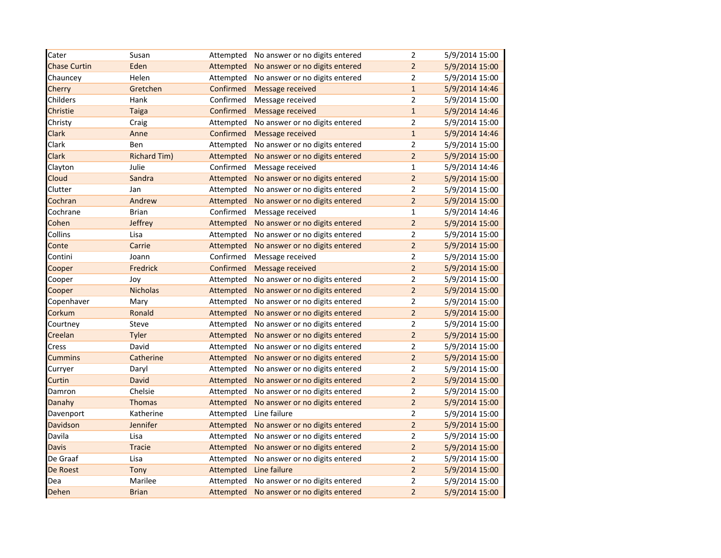| Cater               | Susan               | Attempted | No answer or no digits entered | $\overline{2}$ | 5/9/2014 15:00 |
|---------------------|---------------------|-----------|--------------------------------|----------------|----------------|
| <b>Chase Curtin</b> | Eden                | Attempted | No answer or no digits entered | $\overline{2}$ | 5/9/2014 15:00 |
| Chauncey            | Helen               | Attempted | No answer or no digits entered | $\overline{2}$ | 5/9/2014 15:00 |
| Cherry              | Gretchen            | Confirmed | Message received               | $\mathbf{1}$   | 5/9/2014 14:46 |
| Childers            | Hank                | Confirmed | Message received               | $\overline{2}$ | 5/9/2014 15:00 |
| Christie            | <b>Taiga</b>        | Confirmed | Message received               | $\mathbf{1}$   | 5/9/2014 14:46 |
| Christy             | Craig               | Attempted | No answer or no digits entered | $\overline{2}$ | 5/9/2014 15:00 |
| Clark               | Anne                | Confirmed | Message received               | $\mathbf{1}$   | 5/9/2014 14:46 |
| Clark               | Ben                 | Attempted | No answer or no digits entered | $\overline{2}$ | 5/9/2014 15:00 |
| Clark               | <b>Richard Tim)</b> | Attempted | No answer or no digits entered | $\overline{2}$ | 5/9/2014 15:00 |
| Clayton             | Julie               | Confirmed | Message received               | $\mathbf{1}$   | 5/9/2014 14:46 |
| Cloud               | Sandra              | Attempted | No answer or no digits entered | $\overline{2}$ | 5/9/2014 15:00 |
| Clutter             | Jan                 | Attempted | No answer or no digits entered | $\overline{2}$ | 5/9/2014 15:00 |
| Cochran             | Andrew              | Attempted | No answer or no digits entered | $\overline{2}$ | 5/9/2014 15:00 |
| Cochrane            | <b>Brian</b>        | Confirmed | Message received               | $\mathbf{1}$   | 5/9/2014 14:46 |
| Cohen               | Jeffrey             | Attempted | No answer or no digits entered | $\overline{2}$ | 5/9/2014 15:00 |
| Collins             | Lisa                | Attempted | No answer or no digits entered | $\overline{2}$ | 5/9/2014 15:00 |
| Conte               | Carrie              | Attempted | No answer or no digits entered | $\overline{2}$ | 5/9/2014 15:00 |
| Contini             | Joann               | Confirmed | Message received               | $\overline{2}$ | 5/9/2014 15:00 |
| Cooper              | Fredrick            | Confirmed | Message received               | $\overline{2}$ | 5/9/2014 15:00 |
| Cooper              | Joy                 | Attempted | No answer or no digits entered | $\overline{2}$ | 5/9/2014 15:00 |
| Cooper              | <b>Nicholas</b>     | Attempted | No answer or no digits entered | $\overline{a}$ | 5/9/2014 15:00 |
| Copenhaver          | Mary                | Attempted | No answer or no digits entered | $\overline{2}$ | 5/9/2014 15:00 |
| Corkum              | Ronald              | Attempted | No answer or no digits entered | $\overline{2}$ | 5/9/2014 15:00 |
| Courtney            | Steve               | Attempted | No answer or no digits entered | $\overline{2}$ | 5/9/2014 15:00 |
| Creelan             | Tyler               | Attempted | No answer or no digits entered | $\overline{2}$ | 5/9/2014 15:00 |
| Cress               | David               | Attempted | No answer or no digits entered | $\overline{2}$ | 5/9/2014 15:00 |
| <b>Cummins</b>      | Catherine           | Attempted | No answer or no digits entered | $\overline{a}$ | 5/9/2014 15:00 |
| Curryer             | Daryl               | Attempted | No answer or no digits entered | $\overline{c}$ | 5/9/2014 15:00 |
| Curtin              | <b>David</b>        | Attempted | No answer or no digits entered | $\overline{a}$ | 5/9/2014 15:00 |
| Damron              | Chelsie             | Attempted | No answer or no digits entered | $\overline{2}$ | 5/9/2014 15:00 |
| Danahy              | <b>Thomas</b>       | Attempted | No answer or no digits entered | $\overline{2}$ | 5/9/2014 15:00 |
| Davenport           | Katherine           | Attempted | Line failure                   | $\overline{2}$ | 5/9/2014 15:00 |
| Davidson            | Jennifer            | Attempted | No answer or no digits entered | $\overline{2}$ | 5/9/2014 15:00 |
| Davila              | Lisa                | Attempted | No answer or no digits entered | $\overline{2}$ | 5/9/2014 15:00 |
| <b>Davis</b>        | <b>Tracie</b>       | Attempted | No answer or no digits entered | $\mathbf 2$    | 5/9/2014 15:00 |
| De Graaf            | Lisa                | Attempted | No answer or no digits entered | $\overline{2}$ | 5/9/2014 15:00 |
| De Roest            | Tony                | Attempted | Line failure                   | $\overline{2}$ | 5/9/2014 15:00 |
| Dea                 | Marilee             | Attempted | No answer or no digits entered | $\overline{2}$ | 5/9/2014 15:00 |
| Dehen               | <b>Brian</b>        | Attempted | No answer or no digits entered | $\overline{2}$ | 5/9/2014 15:00 |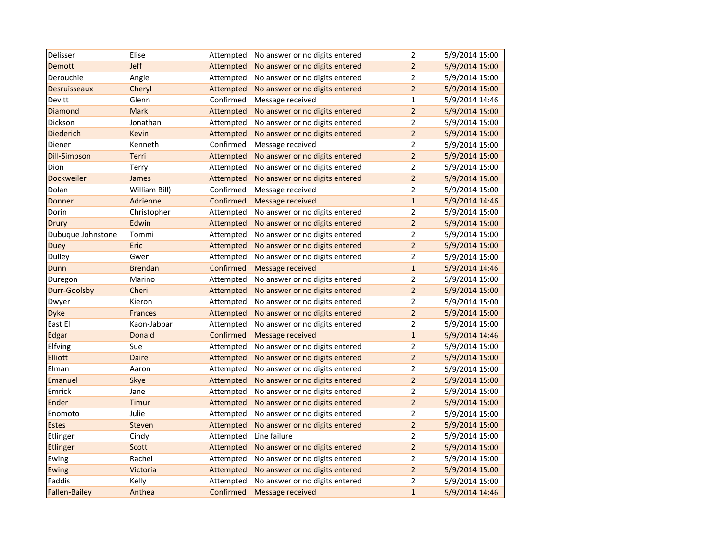| Delisser             | Elise          | Attempted | No answer or no digits entered | $\mathbf 2$    | 5/9/2014 15:00 |
|----------------------|----------------|-----------|--------------------------------|----------------|----------------|
| <b>Demott</b>        | Jeff           | Attempted | No answer or no digits entered | $\overline{2}$ | 5/9/2014 15:00 |
| Derouchie            | Angie          | Attempted | No answer or no digits entered | $\mathbf 2$    | 5/9/2014 15:00 |
| <b>Desruisseaux</b>  | Cheryl         | Attempted | No answer or no digits entered | $\overline{2}$ | 5/9/2014 15:00 |
| Devitt               | Glenn          | Confirmed | Message received               | $\mathbf{1}$   | 5/9/2014 14:46 |
| Diamond              | <b>Mark</b>    | Attempted | No answer or no digits entered | $\overline{2}$ | 5/9/2014 15:00 |
| Dickson              | Jonathan       | Attempted | No answer or no digits entered | $\overline{2}$ | 5/9/2014 15:00 |
| <b>Diederich</b>     | Kevin          | Attempted | No answer or no digits entered | $\overline{2}$ | 5/9/2014 15:00 |
| Diener               | Kenneth        | Confirmed | Message received               | $\overline{2}$ | 5/9/2014 15:00 |
| <b>Dill-Simpson</b>  | Terri          | Attempted | No answer or no digits entered | $\overline{2}$ | 5/9/2014 15:00 |
| Dion                 | Terry          | Attempted | No answer or no digits entered | $\overline{2}$ | 5/9/2014 15:00 |
| Dockweiler           | James          | Attempted | No answer or no digits entered | $\overline{2}$ | 5/9/2014 15:00 |
| Dolan                | William Bill)  | Confirmed | Message received               | $\overline{2}$ | 5/9/2014 15:00 |
| Donner               | Adrienne       | Confirmed | Message received               | $\mathbf 1$    | 5/9/2014 14:46 |
| Dorin                | Christopher    | Attempted | No answer or no digits entered | $\overline{2}$ | 5/9/2014 15:00 |
| Drury                | Edwin          | Attempted | No answer or no digits entered | $\overline{a}$ | 5/9/2014 15:00 |
| Dubuque Johnstone    | Tommi          | Attempted | No answer or no digits entered | $\overline{2}$ | 5/9/2014 15:00 |
| <b>Duey</b>          | Eric           | Attempted | No answer or no digits entered | $\overline{2}$ | 5/9/2014 15:00 |
| <b>Dulley</b>        | Gwen           | Attempted | No answer or no digits entered | $\mathbf 2$    | 5/9/2014 15:00 |
| Dunn                 | <b>Brendan</b> | Confirmed | Message received               | $\mathbf 1$    | 5/9/2014 14:46 |
| Duregon              | Marino         | Attempted | No answer or no digits entered | $\overline{2}$ | 5/9/2014 15:00 |
| Durr-Goolsby         | Cheri          | Attempted | No answer or no digits entered | $\overline{2}$ | 5/9/2014 15:00 |
| Dwyer                | Kieron         | Attempted | No answer or no digits entered | $\overline{2}$ | 5/9/2014 15:00 |
| Dyke                 | <b>Frances</b> | Attempted | No answer or no digits entered | $\overline{2}$ | 5/9/2014 15:00 |
| East El              | Kaon-Jabbar    | Attempted | No answer or no digits entered | $\overline{2}$ | 5/9/2014 15:00 |
| Edgar                | Donald         | Confirmed | Message received               | $\mathbf{1}$   | 5/9/2014 14:46 |
| Elfving              | Sue            | Attempted | No answer or no digits entered | $\overline{2}$ | 5/9/2014 15:00 |
| <b>Elliott</b>       | Daire          | Attempted | No answer or no digits entered | $\overline{2}$ | 5/9/2014 15:00 |
| Elman                | Aaron          | Attempted | No answer or no digits entered | $\overline{2}$ | 5/9/2014 15:00 |
| Emanuel              | Skye           | Attempted | No answer or no digits entered | $\overline{2}$ | 5/9/2014 15:00 |
| Emrick               | Jane           | Attempted | No answer or no digits entered | $\mathbf 2$    | 5/9/2014 15:00 |
| Ender                | Timur          | Attempted | No answer or no digits entered | $\overline{2}$ | 5/9/2014 15:00 |
| Enomoto              | Julie          | Attempted | No answer or no digits entered | $\overline{2}$ | 5/9/2014 15:00 |
| <b>Estes</b>         | Steven         | Attempted | No answer or no digits entered | $\overline{a}$ | 5/9/2014 15:00 |
| Etlinger             | Cindy          | Attempted | Line failure                   | $\overline{2}$ | 5/9/2014 15:00 |
| Etlinger             | Scott          | Attempted | No answer or no digits entered | $\overline{2}$ | 5/9/2014 15:00 |
| Ewing                | Rachel         | Attempted | No answer or no digits entered | 2              | 5/9/2014 15:00 |
| Ewing                | Victoria       | Attempted | No answer or no digits entered | $\overline{2}$ | 5/9/2014 15:00 |
| Faddis               | Kelly          | Attempted | No answer or no digits entered | 2              | 5/9/2014 15:00 |
| <b>Fallen-Bailey</b> | Anthea         | Confirmed | Message received               | $\mathbf{1}$   | 5/9/2014 14:46 |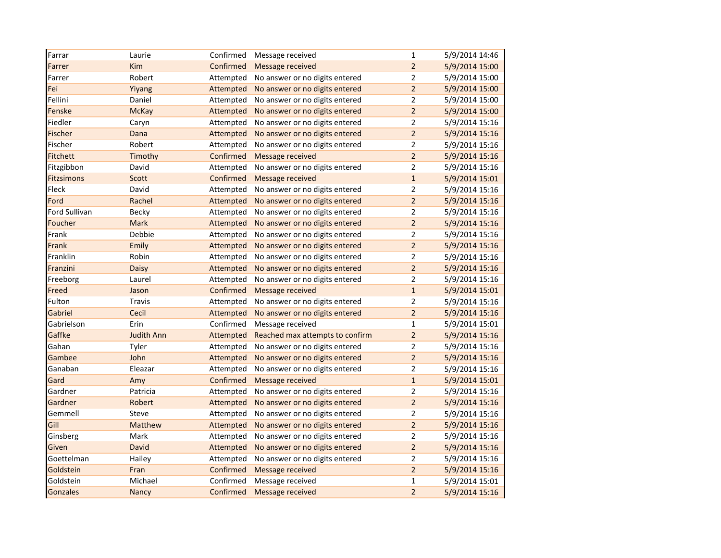| Farrar            | Laurie            | Confirmed | Message received                | $\mathbf{1}$   | 5/9/2014 14:46 |
|-------------------|-------------------|-----------|---------------------------------|----------------|----------------|
| Farrer            | Kim               | Confirmed | <b>Message received</b>         | $\overline{2}$ | 5/9/2014 15:00 |
| Farrer            | Robert            | Attempted | No answer or no digits entered  | $\overline{2}$ | 5/9/2014 15:00 |
| Fei               | Yiyang            | Attempted | No answer or no digits entered  | $\overline{2}$ | 5/9/2014 15:00 |
| Fellini           | Daniel            | Attempted | No answer or no digits entered  | $\overline{2}$ | 5/9/2014 15:00 |
| Fenske            | <b>McKay</b>      | Attempted | No answer or no digits entered  | $\overline{2}$ | 5/9/2014 15:00 |
| Fiedler           | Caryn             | Attempted | No answer or no digits entered  | $\overline{2}$ | 5/9/2014 15:16 |
| Fischer           | Dana              | Attempted | No answer or no digits entered  | $\overline{a}$ | 5/9/2014 15:16 |
| Fischer           | Robert            | Attempted | No answer or no digits entered  | $\overline{2}$ | 5/9/2014 15:16 |
| <b>Fitchett</b>   | Timothy           | Confirmed | Message received                | $\overline{2}$ | 5/9/2014 15:16 |
| Fitzgibbon        | David             | Attempted | No answer or no digits entered  | $\overline{2}$ | 5/9/2014 15:16 |
| <b>Fitzsimons</b> | Scott             | Confirmed | Message received                | $\mathbf{1}$   | 5/9/2014 15:01 |
| Fleck             | David             | Attempted | No answer or no digits entered  | $\overline{2}$ | 5/9/2014 15:16 |
| Ford              | Rachel            | Attempted | No answer or no digits entered  | $\overline{2}$ | 5/9/2014 15:16 |
| Ford Sullivan     | Becky             | Attempted | No answer or no digits entered  | $\overline{2}$ | 5/9/2014 15:16 |
| Foucher           | Mark              | Attempted | No answer or no digits entered  | $\overline{2}$ | 5/9/2014 15:16 |
| Frank             | Debbie            | Attempted | No answer or no digits entered  | $\overline{2}$ | 5/9/2014 15:16 |
| Frank             | Emily             | Attempted | No answer or no digits entered  | $\overline{2}$ | 5/9/2014 15:16 |
| Franklin          | Robin             | Attempted | No answer or no digits entered  | $\overline{2}$ | 5/9/2014 15:16 |
| Franzini          | Daisy             | Attempted | No answer or no digits entered  | $\overline{2}$ | 5/9/2014 15:16 |
| Freeborg          | Laurel            | Attempted | No answer or no digits entered  | $\overline{2}$ | 5/9/2014 15:16 |
| Freed             | Jason             | Confirmed | Message received                | $\mathbf{1}$   | 5/9/2014 15:01 |
| Fulton            | <b>Travis</b>     | Attempted | No answer or no digits entered  | $\overline{2}$ | 5/9/2014 15:16 |
| Gabriel           | Cecil             | Attempted | No answer or no digits entered  | $\overline{2}$ | 5/9/2014 15:16 |
| Gabrielson        | Erin              | Confirmed | Message received                | $\mathbf{1}$   | 5/9/2014 15:01 |
| Gaffke            | <b>Judith Ann</b> | Attempted | Reached max attempts to confirm | $\overline{2}$ | 5/9/2014 15:16 |
| Gahan             | Tyler             | Attempted | No answer or no digits entered  | $\overline{2}$ | 5/9/2014 15:16 |
| Gambee            | John              | Attempted | No answer or no digits entered  | $\mathbf 2$    | 5/9/2014 15:16 |
| Ganaban           | Eleazar           | Attempted | No answer or no digits entered  | $\overline{2}$ | 5/9/2014 15:16 |
| Gard              | Amy               | Confirmed | Message received                | $\mathbf{1}$   | 5/9/2014 15:01 |
| Gardner           | Patricia          | Attempted | No answer or no digits entered  | $\overline{2}$ | 5/9/2014 15:16 |
| Gardner           | Robert            | Attempted | No answer or no digits entered  | $\overline{2}$ | 5/9/2014 15:16 |
| Gemmell           | Steve             | Attempted | No answer or no digits entered  | $\overline{2}$ | 5/9/2014 15:16 |
| Gill              | Matthew           | Attempted | No answer or no digits entered  | $\overline{2}$ | 5/9/2014 15:16 |
| Ginsberg          | Mark              | Attempted | No answer or no digits entered  | $\overline{2}$ | 5/9/2014 15:16 |
| Given             | <b>David</b>      | Attempted | No answer or no digits entered  | $\mathbf 2$    | 5/9/2014 15:16 |
| Goettelman        | Hailey            | Attempted | No answer or no digits entered  | $\overline{2}$ | 5/9/2014 15:16 |
| Goldstein         | Fran              | Confirmed | Message received                | $\overline{2}$ | 5/9/2014 15:16 |
| Goldstein         | Michael           | Confirmed | Message received                | $\mathbf 1$    | 5/9/2014 15:01 |
| <b>Gonzales</b>   | Nancy             | Confirmed | Message received                | $\overline{2}$ | 5/9/2014 15:16 |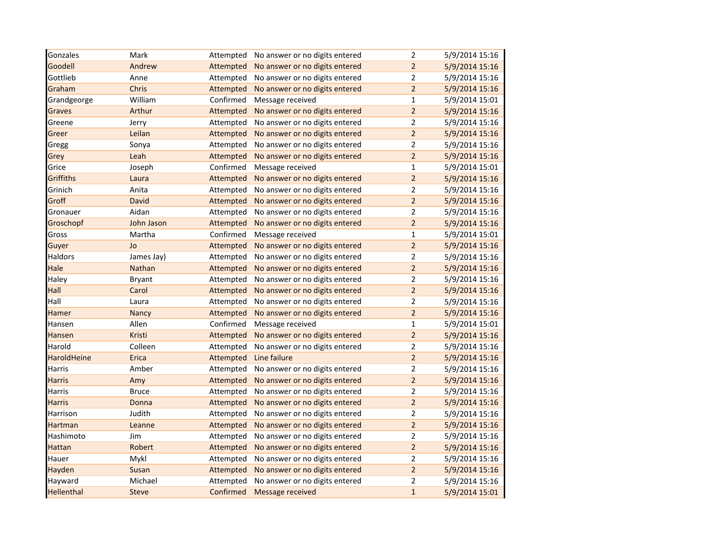| Gonzales          | Mark         | Attempted | No answer or no digits entered | $\mathbf 2$    | 5/9/2014 15:16 |
|-------------------|--------------|-----------|--------------------------------|----------------|----------------|
| Goodell           | Andrew       | Attempted | No answer or no digits entered | $\overline{2}$ | 5/9/2014 15:16 |
| Gottlieb          | Anne         | Attempted | No answer or no digits entered | $\mathbf 2$    | 5/9/2014 15:16 |
| Graham            | Chris        | Attempted | No answer or no digits entered | $\overline{2}$ | 5/9/2014 15:16 |
| Grandgeorge       | William      | Confirmed | Message received               | $\mathbf{1}$   | 5/9/2014 15:01 |
| Graves            | Arthur       | Attempted | No answer or no digits entered | $\overline{2}$ | 5/9/2014 15:16 |
| Greene            | Jerry        | Attempted | No answer or no digits entered | $\mathbf 2$    | 5/9/2014 15:16 |
| Greer             | Leilan       | Attempted | No answer or no digits entered | $\overline{2}$ | 5/9/2014 15:16 |
| Gregg             | Sonya        | Attempted | No answer or no digits entered | $\mathbf 2$    | 5/9/2014 15:16 |
| Grey              | Leah         | Attempted | No answer or no digits entered | $\overline{2}$ | 5/9/2014 15:16 |
| Grice             | Joseph       | Confirmed | Message received               | $\mathbf{1}$   | 5/9/2014 15:01 |
| Griffiths         | Laura        | Attempted | No answer or no digits entered | $\overline{2}$ | 5/9/2014 15:16 |
| Grinich           | Anita        | Attempted | No answer or no digits entered | $\overline{2}$ | 5/9/2014 15:16 |
| Groff             | David        | Attempted | No answer or no digits entered | $\mathbf 2$    | 5/9/2014 15:16 |
| Gronauer          | Aidan        | Attempted | No answer or no digits entered | $\mathbf 2$    | 5/9/2014 15:16 |
| Groschopf         | John Jason   | Attempted | No answer or no digits entered | $\overline{2}$ | 5/9/2014 15:16 |
| Gross             | Martha       | Confirmed | Message received               | $\mathbf{1}$   | 5/9/2014 15:01 |
| Guyer             | Jo           | Attempted | No answer or no digits entered | $\overline{2}$ | 5/9/2014 15:16 |
| Haldors           | James Jay)   | Attempted | No answer or no digits entered | $\overline{2}$ | 5/9/2014 15:16 |
| Hale              | Nathan       | Attempted | No answer or no digits entered | $\overline{2}$ | 5/9/2014 15:16 |
| Haley             | Bryant       | Attempted | No answer or no digits entered | $\overline{2}$ | 5/9/2014 15:16 |
| Hall              | Carol        | Attempted | No answer or no digits entered | $\mathbf 2$    | 5/9/2014 15:16 |
| Hall              | Laura        | Attempted | No answer or no digits entered | $\mathbf 2$    | 5/9/2014 15:16 |
| Hamer             | Nancy        | Attempted | No answer or no digits entered | $\overline{2}$ | 5/9/2014 15:16 |
| Hansen            | Allen        | Confirmed | Message received               | $\mathbf{1}$   | 5/9/2014 15:01 |
| Hansen            | Kristi       | Attempted | No answer or no digits entered | $\overline{2}$ | 5/9/2014 15:16 |
| Harold            | Colleen      | Attempted | No answer or no digits entered | $\overline{2}$ | 5/9/2014 15:16 |
| HaroldHeine       | Erica        | Attempted | Line failure                   | $\mathbf 2$    | 5/9/2014 15:16 |
| Harris            | Amber        | Attempted | No answer or no digits entered | $\overline{c}$ | 5/9/2014 15:16 |
| <b>Harris</b>     | Amy          | Attempted | No answer or no digits entered | $\mathbf 2$    | 5/9/2014 15:16 |
| Harris            | <b>Bruce</b> | Attempted | No answer or no digits entered | $\overline{2}$ | 5/9/2014 15:16 |
| <b>Harris</b>     | Donna        | Attempted | No answer or no digits entered | $\overline{2}$ | 5/9/2014 15:16 |
| Harrison          | Judith       | Attempted | No answer or no digits entered | $\overline{2}$ | 5/9/2014 15:16 |
| Hartman           | Leanne       | Attempted | No answer or no digits entered | $\overline{2}$ | 5/9/2014 15:16 |
| Hashimoto         | Jim          | Attempted | No answer or no digits entered | $\overline{2}$ | 5/9/2014 15:16 |
| <b>Hattan</b>     | Robert       | Attempted | No answer or no digits entered | $\mathbf 2$    | 5/9/2014 15:16 |
| Hauer             | Mykl         | Attempted | No answer or no digits entered | $\overline{2}$ | 5/9/2014 15:16 |
| Hayden            | Susan        | Attempted | No answer or no digits entered | $\overline{2}$ | 5/9/2014 15:16 |
| Hayward           | Michael      | Attempted | No answer or no digits entered | $\mathbf 2$    | 5/9/2014 15:16 |
| <b>Hellenthal</b> | <b>Steve</b> | Confirmed | Message received               | $\mathbf{1}$   | 5/9/2014 15:01 |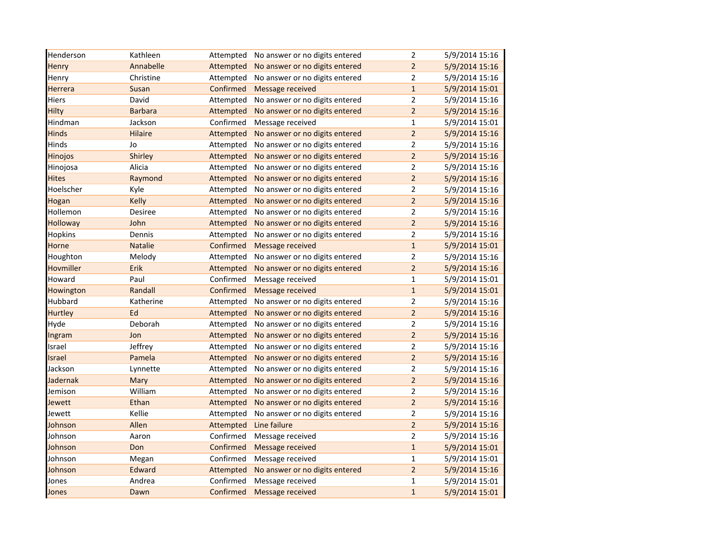| Henderson       | Kathleen       | Attempted | No answer or no digits entered | $\overline{2}$          | 5/9/2014 15:16 |
|-----------------|----------------|-----------|--------------------------------|-------------------------|----------------|
| Henry           | Annabelle      | Attempted | No answer or no digits entered | $\overline{2}$          | 5/9/2014 15:16 |
| Henry           | Christine      | Attempted | No answer or no digits entered | $\overline{2}$          | 5/9/2014 15:16 |
| Herrera         | Susan          | Confirmed | Message received               | $\mathbf{1}$            | 5/9/2014 15:01 |
| Hiers           | David          | Attempted | No answer or no digits entered | $\overline{2}$          | 5/9/2014 15:16 |
| Hilty           | <b>Barbara</b> | Attempted | No answer or no digits entered | $\overline{2}$          | 5/9/2014 15:16 |
| Hindman         | Jackson        | Confirmed | Message received               | $\mathbf{1}$            | 5/9/2014 15:01 |
| <b>Hinds</b>    | Hilaire        | Attempted | No answer or no digits entered | $\overline{2}$          | 5/9/2014 15:16 |
| Hinds           | Jo             | Attempted | No answer or no digits entered | $\overline{2}$          | 5/9/2014 15:16 |
| Hinojos         | Shirley        | Attempted | No answer or no digits entered | $\overline{2}$          | 5/9/2014 15:16 |
| Hinojosa        | Alicia         | Attempted | No answer or no digits entered | $\overline{2}$          | 5/9/2014 15:16 |
| <b>Hites</b>    | Raymond        | Attempted | No answer or no digits entered | $\overline{2}$          | 5/9/2014 15:16 |
| Hoelscher       | Kyle           | Attempted | No answer or no digits entered | 2                       | 5/9/2014 15:16 |
| Hogan           | <b>Kelly</b>   | Attempted | No answer or no digits entered | $\overline{2}$          | 5/9/2014 15:16 |
| Hollemon        | Desiree        | Attempted | No answer or no digits entered | $\overline{2}$          | 5/9/2014 15:16 |
| <b>Holloway</b> | John           | Attempted | No answer or no digits entered | $\overline{2}$          | 5/9/2014 15:16 |
| Hopkins         | Dennis         | Attempted | No answer or no digits entered | $\overline{2}$          | 5/9/2014 15:16 |
| Horne           | <b>Natalie</b> | Confirmed | Message received               | $\mathbf{1}$            | 5/9/2014 15:01 |
| Houghton        | Melody         | Attempted | No answer or no digits entered | $\overline{2}$          | 5/9/2014 15:16 |
| Hovmiller       | Erik           | Attempted | No answer or no digits entered | $\overline{2}$          | 5/9/2014 15:16 |
| Howard          | Paul           | Confirmed | Message received               | $\mathbf{1}$            | 5/9/2014 15:01 |
| Howington       | Randall        | Confirmed | Message received               | $\mathbf{1}$            | 5/9/2014 15:01 |
| Hubbard         | Katherine      | Attempted | No answer or no digits entered | $\overline{2}$          | 5/9/2014 15:16 |
| Hurtley         | Ed             | Attempted | No answer or no digits entered | $\overline{a}$          | 5/9/2014 15:16 |
| Hyde            | Deborah        | Attempted | No answer or no digits entered | $\overline{2}$          | 5/9/2014 15:16 |
| Ingram          | Jon            | Attempted | No answer or no digits entered | $\overline{2}$          | 5/9/2014 15:16 |
| Israel          | Jeffrey        | Attempted | No answer or no digits entered | $\overline{\mathbf{c}}$ | 5/9/2014 15:16 |
| Israel          | Pamela         | Attempted | No answer or no digits entered | $\overline{a}$          | 5/9/2014 15:16 |
| Jackson         | Lynnette       | Attempted | No answer or no digits entered | 2                       | 5/9/2014 15:16 |
| Jadernak        | Mary           | Attempted | No answer or no digits entered | $\overline{2}$          | 5/9/2014 15:16 |
| Jemison         | William        | Attempted | No answer or no digits entered | $\overline{2}$          | 5/9/2014 15:16 |
| Jewett          | Ethan          | Attempted | No answer or no digits entered | $\overline{2}$          | 5/9/2014 15:16 |
| Jewett          | Kellie         | Attempted | No answer or no digits entered | $\overline{2}$          | 5/9/2014 15:16 |
| Johnson         | Allen          | Attempted | Line failure                   | $\overline{2}$          | 5/9/2014 15:16 |
| Johnson         | Aaron          | Confirmed | Message received               | $\overline{2}$          | 5/9/2014 15:16 |
| Johnson         | Don            | Confirmed | Message received               | $\mathbf{1}$            | 5/9/2014 15:01 |
| Johnson         | Megan          | Confirmed | Message received               | $\mathbf 1$             | 5/9/2014 15:01 |
| Johnson         | Edward         | Attempted | No answer or no digits entered | $\overline{c}$          | 5/9/2014 15:16 |
| Jones           | Andrea         | Confirmed | Message received               | $\mathbf{1}$            | 5/9/2014 15:01 |
| Jones           | Dawn           | Confirmed | Message received               | $\mathbf{1}$            | 5/9/2014 15:01 |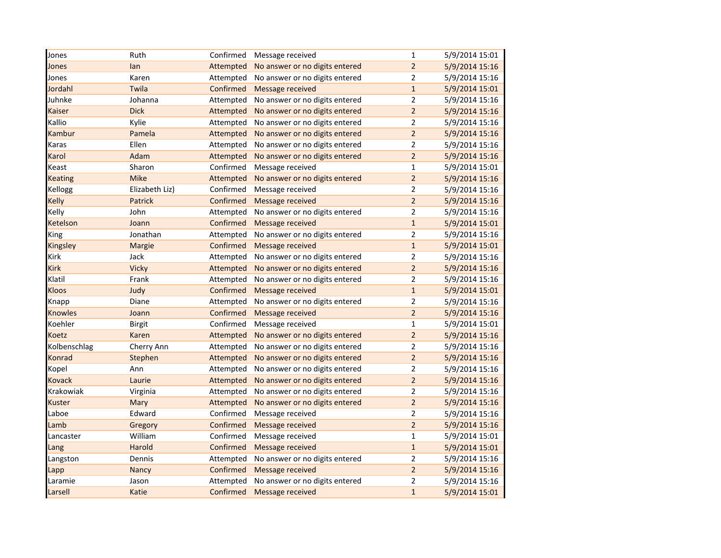| Jones          | Ruth           | Confirmed | Message received               | $\mathbf{1}$   | 5/9/2014 15:01 |
|----------------|----------------|-----------|--------------------------------|----------------|----------------|
| Jones          | lan            | Attempted | No answer or no digits entered | $\overline{2}$ | 5/9/2014 15:16 |
| Jones          | Karen          | Attempted | No answer or no digits entered | $\overline{2}$ | 5/9/2014 15:16 |
| Jordahl        | Twila          | Confirmed | <b>Message received</b>        | $\mathbf{1}$   | 5/9/2014 15:01 |
| Juhnke         | Johanna        | Attempted | No answer or no digits entered | $\overline{2}$ | 5/9/2014 15:16 |
| Kaiser         | <b>Dick</b>    | Attempted | No answer or no digits entered | $\overline{a}$ | 5/9/2014 15:16 |
| Kallio         | Kylie          | Attempted | No answer or no digits entered | 2              | 5/9/2014 15:16 |
| Kambur         | Pamela         | Attempted | No answer or no digits entered | $\overline{a}$ | 5/9/2014 15:16 |
| Karas          | Ellen          | Attempted | No answer or no digits entered | $\overline{2}$ | 5/9/2014 15:16 |
| Karol          | Adam           | Attempted | No answer or no digits entered | $\overline{2}$ | 5/9/2014 15:16 |
| Keast          | Sharon         | Confirmed | Message received               | $\mathbf{1}$   | 5/9/2014 15:01 |
| <b>Keating</b> | <b>Mike</b>    | Attempted | No answer or no digits entered | $\overline{2}$ | 5/9/2014 15:16 |
| Kellogg        | Elizabeth Liz) | Confirmed | Message received               | $\overline{2}$ | 5/9/2014 15:16 |
| Kelly          | Patrick        | Confirmed | Message received               | $\overline{2}$ | 5/9/2014 15:16 |
| Kelly          | John           | Attempted | No answer or no digits entered | $\overline{2}$ | 5/9/2014 15:16 |
| Ketelson       | Joann          | Confirmed | Message received               | $\mathbf{1}$   | 5/9/2014 15:01 |
| King           | Jonathan       | Attempted | No answer or no digits entered | $\overline{2}$ | 5/9/2014 15:16 |
| Kingsley       | Margie         | Confirmed | Message received               | $\mathbf{1}$   | 5/9/2014 15:01 |
| Kirk           | Jack           | Attempted | No answer or no digits entered | $\overline{2}$ | 5/9/2014 15:16 |
| Kirk           | <b>Vicky</b>   | Attempted | No answer or no digits entered | $\overline{2}$ | 5/9/2014 15:16 |
| Klatil         | Frank          | Attempted | No answer or no digits entered | $\overline{2}$ | 5/9/2014 15:16 |
| <b>Kloos</b>   | Judy           | Confirmed | Message received               | $\mathbf{1}$   | 5/9/2014 15:01 |
| Knapp          | Diane          | Attempted | No answer or no digits entered | $\overline{2}$ | 5/9/2014 15:16 |
| <b>Knowles</b> | Joann          | Confirmed | Message received               | $\overline{2}$ | 5/9/2014 15:16 |
| Koehler        | Birgit         | Confirmed | Message received               | $\mathbf{1}$   | 5/9/2014 15:01 |
| Koetz          | Karen          | Attempted | No answer or no digits entered | $\overline{2}$ | 5/9/2014 15:16 |
| Kolbenschlag   | Cherry Ann     | Attempted | No answer or no digits entered | $\overline{2}$ | 5/9/2014 15:16 |
| Konrad         | Stephen        | Attempted | No answer or no digits entered | $\overline{2}$ | 5/9/2014 15:16 |
| Kopel          | Ann            | Attempted | No answer or no digits entered | $\overline{2}$ | 5/9/2014 15:16 |
| <b>Kovack</b>  | Laurie         | Attempted | No answer or no digits entered | $\overline{2}$ | 5/9/2014 15:16 |
| Krakowiak      | Virginia       | Attempted | No answer or no digits entered | $\overline{2}$ | 5/9/2014 15:16 |
| Kuster         | Mary           | Attempted | No answer or no digits entered | $\overline{2}$ | 5/9/2014 15:16 |
| Laboe          | Edward         | Confirmed | Message received               | $\overline{2}$ | 5/9/2014 15:16 |
| Lamb           | Gregory        | Confirmed | Message received               | $\overline{2}$ | 5/9/2014 15:16 |
| Lancaster      | William        | Confirmed | Message received               | $\mathbf{1}$   | 5/9/2014 15:01 |
| Lang           | Harold         | Confirmed | Message received               | $\mathbf{1}$   | 5/9/2014 15:01 |
| Langston       | Dennis         | Attempted | No answer or no digits entered | $\overline{2}$ | 5/9/2014 15:16 |
| Lapp           | Nancy          | Confirmed | Message received               | $\overline{2}$ | 5/9/2014 15:16 |
| Laramie        | Jason          | Attempted | No answer or no digits entered | $\overline{2}$ | 5/9/2014 15:16 |
| Larsell        | Katie          | Confirmed | Message received               | $\mathbf{1}$   | 5/9/2014 15:01 |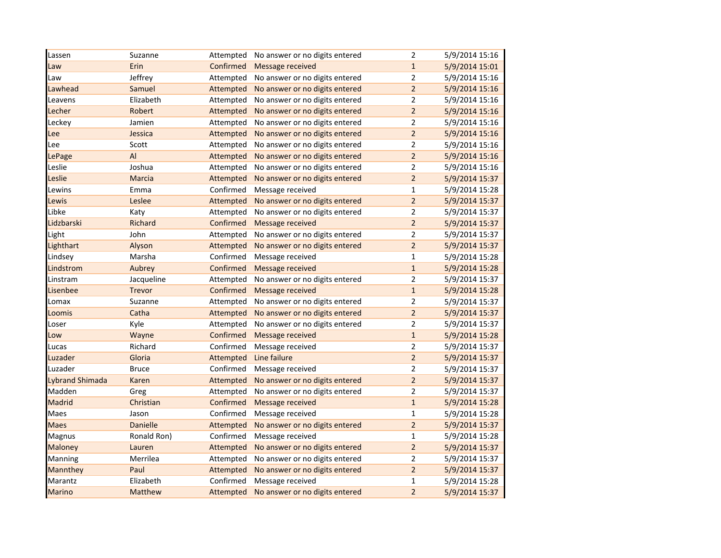| Lassen                 | Suzanne         | Attempted | No answer or no digits entered | $\overline{2}$ | 5/9/2014 15:16 |
|------------------------|-----------------|-----------|--------------------------------|----------------|----------------|
| Law                    | Erin            | Confirmed | Message received               | $\mathbf{1}$   | 5/9/2014 15:01 |
| Law                    | Jeffrey         | Attempted | No answer or no digits entered | $\overline{2}$ | 5/9/2014 15:16 |
| Lawhead                | Samuel          | Attempted | No answer or no digits entered | $\overline{a}$ | 5/9/2014 15:16 |
| Leavens                | Elizabeth       | Attempted | No answer or no digits entered | 2              | 5/9/2014 15:16 |
| Lecher                 | Robert          | Attempted | No answer or no digits entered | $\overline{2}$ | 5/9/2014 15:16 |
| Leckey                 | Jamien          | Attempted | No answer or no digits entered | $\overline{2}$ | 5/9/2014 15:16 |
| Lee                    | Jessica         | Attempted | No answer or no digits entered | $\overline{2}$ | 5/9/2014 15:16 |
| Lee                    | Scott           | Attempted | No answer or no digits entered | $\overline{2}$ | 5/9/2014 15:16 |
| LePage                 | AI              | Attempted | No answer or no digits entered | $\overline{2}$ | 5/9/2014 15:16 |
| Leslie                 | Joshua          | Attempted | No answer or no digits entered | $\overline{2}$ | 5/9/2014 15:16 |
| Leslie                 | Marcia          | Attempted | No answer or no digits entered | $\overline{2}$ | 5/9/2014 15:37 |
| Lewins                 | Emma            | Confirmed | Message received               | $\mathbf{1}$   | 5/9/2014 15:28 |
| Lewis                  | Leslee          | Attempted | No answer or no digits entered | $\overline{2}$ | 5/9/2014 15:37 |
| Libke                  | Katy            | Attempted | No answer or no digits entered | 2              | 5/9/2014 15:37 |
| Lidzbarski             | Richard         | Confirmed | Message received               | $\overline{2}$ | 5/9/2014 15:37 |
| Light                  | John            | Attempted | No answer or no digits entered | $\overline{2}$ | 5/9/2014 15:37 |
| Lighthart              | Alyson          | Attempted | No answer or no digits entered | $\overline{2}$ | 5/9/2014 15:37 |
| Lindsey                | Marsha          | Confirmed | Message received               | $\mathbf{1}$   | 5/9/2014 15:28 |
| Lindstrom              | Aubrey          | Confirmed | Message received               | $\mathbf 1$    | 5/9/2014 15:28 |
| Linstram               | Jacqueline      | Attempted | No answer or no digits entered | $\overline{2}$ | 5/9/2014 15:37 |
| Lisenbee               | <b>Trevor</b>   | Confirmed | Message received               | $\mathbf{1}$   | 5/9/2014 15:28 |
| Lomax                  | Suzanne         | Attempted | No answer or no digits entered | $\overline{2}$ | 5/9/2014 15:37 |
| Loomis                 | Catha           | Attempted | No answer or no digits entered | $\overline{2}$ | 5/9/2014 15:37 |
| Loser                  | Kyle            | Attempted | No answer or no digits entered | $\overline{2}$ | 5/9/2014 15:37 |
| Low                    | Wayne           | Confirmed | Message received               | $\mathbf{1}$   | 5/9/2014 15:28 |
| Lucas                  | Richard         | Confirmed | Message received               | $\overline{2}$ | 5/9/2014 15:37 |
| Luzader                | Gloria          | Attempted | Line failure                   | $\overline{2}$ | 5/9/2014 15:37 |
| Luzader                | <b>Bruce</b>    | Confirmed | Message received               | $\overline{2}$ | 5/9/2014 15:37 |
| <b>Lybrand Shimada</b> | Karen           | Attempted | No answer or no digits entered | $\overline{2}$ | 5/9/2014 15:37 |
| Madden                 | Greg            | Attempted | No answer or no digits entered | $\overline{2}$ | 5/9/2014 15:37 |
| <b>Madrid</b>          | Christian       | Confirmed | Message received               | $\mathbf{1}$   | 5/9/2014 15:28 |
| Maes                   | Jason           | Confirmed | Message received               | $\mathbf{1}$   | 5/9/2014 15:28 |
| <b>Maes</b>            | <b>Danielle</b> | Attempted | No answer or no digits entered | $\overline{2}$ | 5/9/2014 15:37 |
| Magnus                 | Ronald Ron)     | Confirmed | Message received               | $\mathbf{1}$   | 5/9/2014 15:28 |
| <b>Maloney</b>         | Lauren          | Attempted | No answer or no digits entered | $\overline{2}$ | 5/9/2014 15:37 |
| Manning                | Merrilea        | Attempted | No answer or no digits entered | 2              | 5/9/2014 15:37 |
| Mannthey               | Paul            | Attempted | No answer or no digits entered | $\overline{2}$ | 5/9/2014 15:37 |
| Marantz                | Elizabeth       | Confirmed | Message received               | $\mathbf{1}$   | 5/9/2014 15:28 |
| <b>Marino</b>          | <b>Matthew</b>  | Attempted | No answer or no digits entered | $\overline{2}$ | 5/9/2014 15:37 |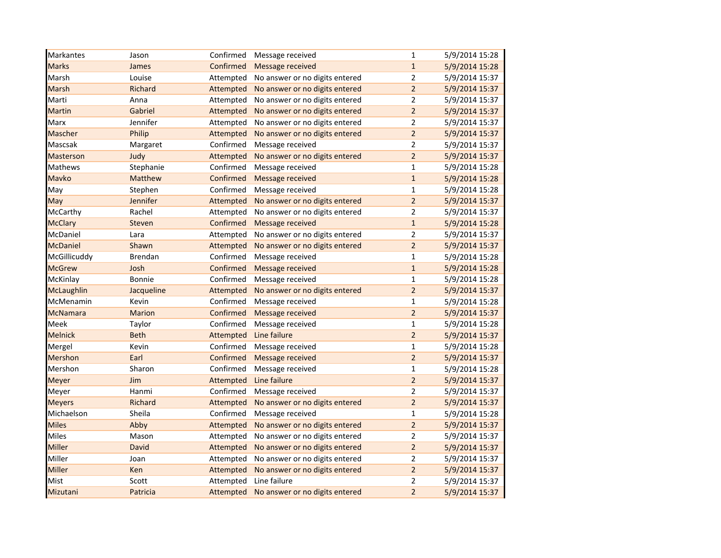| Markantes         | Jason          | Confirmed | Message received               | $\mathbf{1}$   | 5/9/2014 15:28 |
|-------------------|----------------|-----------|--------------------------------|----------------|----------------|
| <b>Marks</b>      | James          | Confirmed | Message received               | $\mathbf{1}$   | 5/9/2014 15:28 |
| Marsh             | Louise         | Attempted | No answer or no digits entered | $\overline{2}$ | 5/9/2014 15:37 |
| <b>Marsh</b>      | Richard        | Attempted | No answer or no digits entered | $\overline{a}$ | 5/9/2014 15:37 |
| Marti             | Anna           | Attempted | No answer or no digits entered | $\overline{2}$ | 5/9/2014 15:37 |
| Martin            | Gabriel        | Attempted | No answer or no digits entered | $\overline{2}$ | 5/9/2014 15:37 |
| Marx              | Jennifer       | Attempted | No answer or no digits entered | $\overline{2}$ | 5/9/2014 15:37 |
| Mascher           | Philip         | Attempted | No answer or no digits entered | $\overline{2}$ | 5/9/2014 15:37 |
| Mascsak           | Margaret       | Confirmed | Message received               | $\overline{2}$ | 5/9/2014 15:37 |
| <b>Masterson</b>  | Judy           | Attempted | No answer or no digits entered | $\overline{2}$ | 5/9/2014 15:37 |
| Mathews           | Stephanie      | Confirmed | Message received               | $\mathbf{1}$   | 5/9/2014 15:28 |
| Mavko             | <b>Matthew</b> | Confirmed | Message received               | $\mathbf{1}$   | 5/9/2014 15:28 |
| May               | Stephen        | Confirmed | Message received               | $\mathbf{1}$   | 5/9/2014 15:28 |
| May               | Jennifer       | Attempted | No answer or no digits entered | $\overline{2}$ | 5/9/2014 15:37 |
| McCarthy          | Rachel         | Attempted | No answer or no digits entered | $\overline{2}$ | 5/9/2014 15:37 |
| <b>McClary</b>    | Steven         | Confirmed | Message received               | $\mathbf{1}$   | 5/9/2014 15:28 |
| McDaniel          | Lara           | Attempted | No answer or no digits entered | $\overline{2}$ | 5/9/2014 15:37 |
| <b>McDaniel</b>   | Shawn          | Attempted | No answer or no digits entered | $\overline{2}$ | 5/9/2014 15:37 |
| McGillicuddy      | Brendan        | Confirmed | Message received               | $\mathbf{1}$   | 5/9/2014 15:28 |
| <b>McGrew</b>     | Josh           | Confirmed | Message received               | $\mathbf{1}$   | 5/9/2014 15:28 |
| McKinlay          | Bonnie         | Confirmed | Message received               | $\mathbf 1$    | 5/9/2014 15:28 |
| <b>McLaughlin</b> | Jacqueline     | Attempted | No answer or no digits entered | $\overline{2}$ | 5/9/2014 15:37 |
| McMenamin         | Kevin          | Confirmed | Message received               | $\mathbf{1}$   | 5/9/2014 15:28 |
| <b>McNamara</b>   | <b>Marion</b>  | Confirmed | Message received               | $\overline{2}$ | 5/9/2014 15:37 |
| Meek              | Taylor         | Confirmed | Message received               | $\mathbf{1}$   | 5/9/2014 15:28 |
| <b>Melnick</b>    | <b>Beth</b>    | Attempted | Line failure                   | $\overline{2}$ | 5/9/2014 15:37 |
| Mergel            | Kevin          | Confirmed | Message received               | $\mathbf{1}$   | 5/9/2014 15:28 |
| Mershon           | Earl           | Confirmed | Message received               | $\overline{2}$ | 5/9/2014 15:37 |
| Mershon           | Sharon         | Confirmed | Message received               | $\mathbf 1$    | 5/9/2014 15:28 |
| Meyer             | Jim            | Attempted | Line failure                   | $\overline{2}$ | 5/9/2014 15:37 |
| Meyer             | Hanmi          | Confirmed | Message received               | $\overline{2}$ | 5/9/2014 15:37 |
| <b>Meyers</b>     | Richard        | Attempted | No answer or no digits entered | $\overline{2}$ | 5/9/2014 15:37 |
| Michaelson        | Sheila         | Confirmed | Message received               | $\mathbf{1}$   | 5/9/2014 15:28 |
| <b>Miles</b>      | Abby           | Attempted | No answer or no digits entered | $\overline{2}$ | 5/9/2014 15:37 |
| Miles             | Mason          | Attempted | No answer or no digits entered | $\overline{2}$ | 5/9/2014 15:37 |
| Miller            | David          | Attempted | No answer or no digits entered | $\overline{2}$ | 5/9/2014 15:37 |
| Miller            | Joan           | Attempted | No answer or no digits entered | $\overline{2}$ | 5/9/2014 15:37 |
| Miller            | Ken            | Attempted | No answer or no digits entered | $\overline{2}$ | 5/9/2014 15:37 |
| Mist              | Scott          | Attempted | Line failure                   | $\overline{2}$ | 5/9/2014 15:37 |
| Mizutani          | Patricia       | Attempted | No answer or no digits entered | $\overline{2}$ | 5/9/2014 15:37 |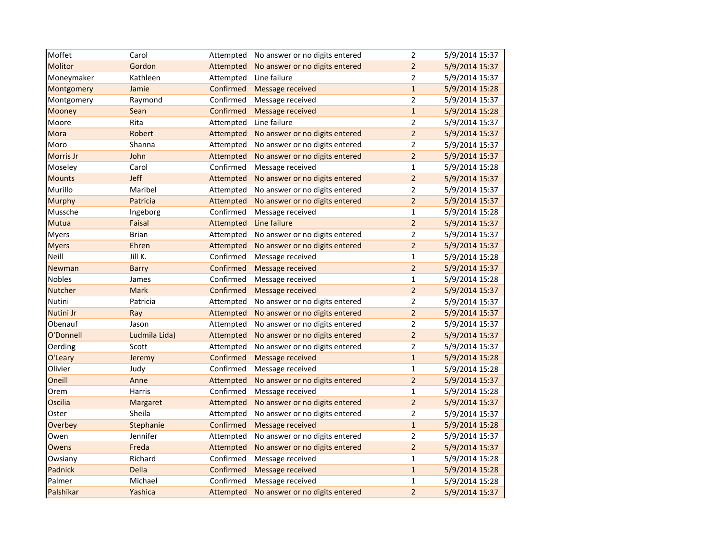| Moffet         | Carol         | Attempted | No answer or no digits entered | $\overline{2}$ | 5/9/2014 15:37 |
|----------------|---------------|-----------|--------------------------------|----------------|----------------|
| <b>Molitor</b> | Gordon        | Attempted | No answer or no digits entered | $\overline{2}$ | 5/9/2014 15:37 |
| Moneymaker     | Kathleen      | Attempted | Line failure                   | $\overline{2}$ | 5/9/2014 15:37 |
| Montgomery     | Jamie         | Confirmed | Message received               | $\mathbf{1}$   | 5/9/2014 15:28 |
| Montgomery     | Raymond       | Confirmed | Message received               | $\overline{2}$ | 5/9/2014 15:37 |
| <b>Mooney</b>  | Sean          | Confirmed | Message received               | $\mathbf{1}$   | 5/9/2014 15:28 |
| Moore          | Rita          | Attempted | Line failure                   | $\overline{2}$ | 5/9/2014 15:37 |
| Mora           | Robert        | Attempted | No answer or no digits entered | $\overline{2}$ | 5/9/2014 15:37 |
| Moro           | Shanna        | Attempted | No answer or no digits entered | $\overline{2}$ | 5/9/2014 15:37 |
| Morris Jr      | John          | Attempted | No answer or no digits entered | $\overline{2}$ | 5/9/2014 15:37 |
| Moseley        | Carol         | Confirmed | Message received               | $\mathbf{1}$   | 5/9/2014 15:28 |
| <b>Mounts</b>  | Jeff          | Attempted | No answer or no digits entered | $\overline{2}$ | 5/9/2014 15:37 |
| Murillo        | Maribel       | Attempted | No answer or no digits entered | 2              | 5/9/2014 15:37 |
| Murphy         | Patricia      | Attempted | No answer or no digits entered | $\overline{2}$ | 5/9/2014 15:37 |
| Mussche        | Ingeborg      | Confirmed | Message received               | $\mathbf{1}$   | 5/9/2014 15:28 |
| Mutua          | Faisal        | Attempted | Line failure                   | $\overline{2}$ | 5/9/2014 15:37 |
| <b>Myers</b>   | <b>Brian</b>  | Attempted | No answer or no digits entered | $\overline{2}$ | 5/9/2014 15:37 |
| <b>Myers</b>   | Ehren         | Attempted | No answer or no digits entered | $\overline{2}$ | 5/9/2014 15:37 |
| Neill          | Jill K.       | Confirmed | Message received               | $\mathbf{1}$   | 5/9/2014 15:28 |
| Newman         | <b>Barry</b>  | Confirmed | Message received               | $\overline{2}$ | 5/9/2014 15:37 |
| <b>Nobles</b>  | James         | Confirmed | Message received               | $\mathbf{1}$   | 5/9/2014 15:28 |
| Nutcher        | <b>Mark</b>   | Confirmed | Message received               | $\overline{2}$ | 5/9/2014 15:37 |
| Nutini         | Patricia      | Attempted | No answer or no digits entered | $\overline{2}$ | 5/9/2014 15:37 |
| Nutini Jr      | Ray           | Attempted | No answer or no digits entered | $\overline{2}$ | 5/9/2014 15:37 |
| Obenauf        | Jason         | Attempted | No answer or no digits entered | $\overline{2}$ | 5/9/2014 15:37 |
| O'Donnell      | Ludmila Lida) | Attempted | No answer or no digits entered | $\overline{2}$ | 5/9/2014 15:37 |
| Oerding        | Scott         | Attempted | No answer or no digits entered | $\overline{2}$ | 5/9/2014 15:37 |
| O'Leary        | Jeremy        | Confirmed | Message received               | $\mathbf{1}$   | 5/9/2014 15:28 |
| Olivier        | Judy          | Confirmed | Message received               | $\mathbf{1}$   | 5/9/2014 15:28 |
| Oneill         | Anne          | Attempted | No answer or no digits entered | $\overline{2}$ | 5/9/2014 15:37 |
| Orem           | Harris        | Confirmed | Message received               | $\mathbf{1}$   | 5/9/2014 15:28 |
| Oscilia        | Margaret      | Attempted | No answer or no digits entered | $\overline{2}$ | 5/9/2014 15:37 |
| Oster          | Sheila        | Attempted | No answer or no digits entered | $\overline{2}$ | 5/9/2014 15:37 |
| Overbey        | Stephanie     | Confirmed | Message received               | $\mathbf{1}$   | 5/9/2014 15:28 |
| Owen           | Jennifer      | Attempted | No answer or no digits entered | $\overline{2}$ | 5/9/2014 15:37 |
| Owens          | Freda         | Attempted | No answer or no digits entered | $\overline{2}$ | 5/9/2014 15:37 |
| Owsiany        | Richard       | Confirmed | Message received               | 1              | 5/9/2014 15:28 |
| Padnick        | Della         | Confirmed | Message received               | $\mathbf{1}$   | 5/9/2014 15:28 |
| Palmer         | Michael       | Confirmed | Message received               | $\mathbf{1}$   | 5/9/2014 15:28 |
| Palshikar      | Yashica       | Attempted | No answer or no digits entered | $\overline{2}$ | 5/9/2014 15:37 |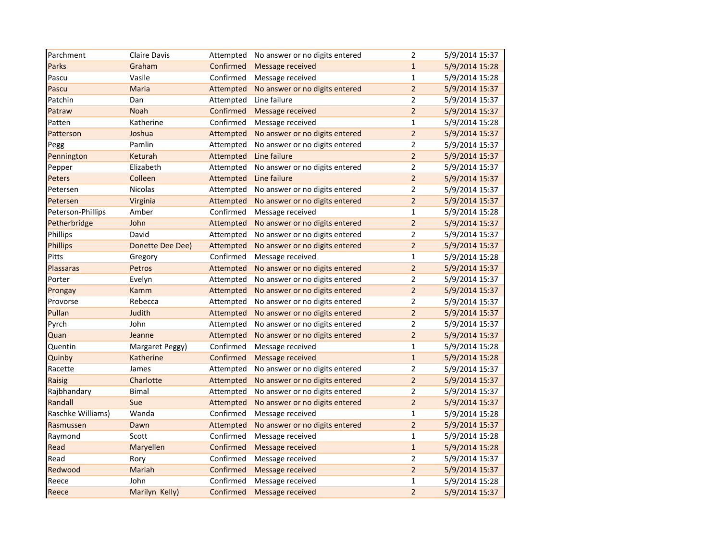| Parchment         | Claire Davis     | Attempted | No answer or no digits entered | $\overline{2}$ | 5/9/2014 15:37 |
|-------------------|------------------|-----------|--------------------------------|----------------|----------------|
| Parks             | Graham           | Confirmed | Message received               | $\mathbf{1}$   | 5/9/2014 15:28 |
| Pascu             | Vasile           | Confirmed | Message received               | $\mathbf{1}$   | 5/9/2014 15:28 |
| Pascu             | Maria            | Attempted | No answer or no digits entered | $\overline{2}$ | 5/9/2014 15:37 |
| Patchin           | Dan              | Attempted | Line failure                   | $\overline{2}$ | 5/9/2014 15:37 |
| Patraw            | Noah             | Confirmed | <b>Message received</b>        | $\overline{2}$ | 5/9/2014 15:37 |
| Patten            | Katherine        | Confirmed | Message received               | $\mathbf{1}$   | 5/9/2014 15:28 |
| Patterson         | Joshua           | Attempted | No answer or no digits entered | $\overline{2}$ | 5/9/2014 15:37 |
| Pegg              | Pamlin           | Attempted | No answer or no digits entered | $\overline{2}$ | 5/9/2014 15:37 |
| Pennington        | Keturah          | Attempted | Line failure                   | $\overline{2}$ | 5/9/2014 15:37 |
| Pepper            | Elizabeth        | Attempted | No answer or no digits entered | $\overline{2}$ | 5/9/2014 15:37 |
| Peters            | Colleen          | Attempted | Line failure                   | $\overline{2}$ | 5/9/2014 15:37 |
| Petersen          | Nicolas          | Attempted | No answer or no digits entered | $\overline{2}$ | 5/9/2014 15:37 |
| Petersen          | Virginia         | Attempted | No answer or no digits entered | $\overline{2}$ | 5/9/2014 15:37 |
| Peterson-Phillips | Amber            | Confirmed | Message received               | $\mathbf{1}$   | 5/9/2014 15:28 |
| Petherbridge      | John             | Attempted | No answer or no digits entered | $\overline{2}$ | 5/9/2014 15:37 |
| Phillips          | David            | Attempted | No answer or no digits entered | $\mathbf 2$    | 5/9/2014 15:37 |
| <b>Phillips</b>   | Donette Dee Dee) | Attempted | No answer or no digits entered | $\overline{2}$ | 5/9/2014 15:37 |
| Pitts             | Gregory          | Confirmed | Message received               | $\mathbf{1}$   | 5/9/2014 15:28 |
| Plassaras         | Petros           | Attempted | No answer or no digits entered | $\overline{2}$ | 5/9/2014 15:37 |
| Porter            | Evelyn           | Attempted | No answer or no digits entered | $\overline{2}$ | 5/9/2014 15:37 |
| Prongay           | <b>Kamm</b>      | Attempted | No answer or no digits entered | $\mathbf 2$    | 5/9/2014 15:37 |
| Provorse          | Rebecca          | Attempted | No answer or no digits entered | $\mathbf 2$    | 5/9/2014 15:37 |
| Pullan            | Judith           | Attempted | No answer or no digits entered | $\overline{2}$ | 5/9/2014 15:37 |
| Pyrch             | John             | Attempted | No answer or no digits entered | $\overline{2}$ | 5/9/2014 15:37 |
| Quan              | Jeanne           | Attempted | No answer or no digits entered | $\overline{2}$ | 5/9/2014 15:37 |
| Quentin           | Margaret Peggy)  | Confirmed | Message received               | $\mathbf{1}$   | 5/9/2014 15:28 |
| Quinby            | Katherine        | Confirmed | Message received               | $\mathbf 1$    | 5/9/2014 15:28 |
| Racette           | James            | Attempted | No answer or no digits entered | $\overline{2}$ | 5/9/2014 15:37 |
| <b>Raisig</b>     | Charlotte        | Attempted | No answer or no digits entered | $\overline{2}$ | 5/9/2014 15:37 |
| Rajbhandary       | <b>Bimal</b>     | Attempted | No answer or no digits entered | $\mathbf 2$    | 5/9/2014 15:37 |
| Randall           | Sue              | Attempted | No answer or no digits entered | $\overline{2}$ | 5/9/2014 15:37 |
| Raschke Williams) | Wanda            | Confirmed | Message received               | $\mathbf{1}$   | 5/9/2014 15:28 |
| Rasmussen         | Dawn             | Attempted | No answer or no digits entered | $\overline{2}$ | 5/9/2014 15:37 |
| Raymond           | Scott            | Confirmed | Message received               | $\mathbf 1$    | 5/9/2014 15:28 |
| Read              | Maryellen        | Confirmed | Message received               | $\mathbf{1}$   | 5/9/2014 15:28 |
| Read              | Rory             | Confirmed | Message received               | $\mathbf 2$    | 5/9/2014 15:37 |
| Redwood           | Mariah           | Confirmed | Message received               | $\mathbf 2$    | 5/9/2014 15:37 |
| Reece             | John             | Confirmed | Message received               | $\mathbf{1}$   | 5/9/2014 15:28 |
| Reece             | Marilyn Kelly)   | Confirmed | Message received               | $\overline{2}$ | 5/9/2014 15:37 |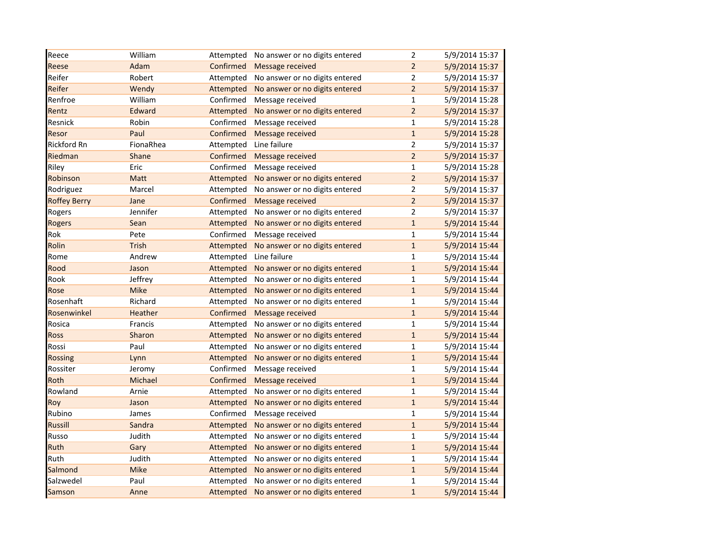| Reece               | William     | Attempted | No answer or no digits entered | $\mathbf 2$    | 5/9/2014 15:37 |
|---------------------|-------------|-----------|--------------------------------|----------------|----------------|
| Reese               | Adam        | Confirmed | Message received               | $\overline{2}$ | 5/9/2014 15:37 |
| Reifer              | Robert      | Attempted | No answer or no digits entered | $\mathbf 2$    | 5/9/2014 15:37 |
| Reifer              | Wendy       | Attempted | No answer or no digits entered | $\overline{2}$ | 5/9/2014 15:37 |
| Renfroe             | William     | Confirmed | Message received               | $\mathbf{1}$   | 5/9/2014 15:28 |
| Rentz               | Edward      | Attempted | No answer or no digits entered | $\overline{2}$ | 5/9/2014 15:37 |
| Resnick             | Robin       | Confirmed | Message received               | $\mathbf 1$    | 5/9/2014 15:28 |
| Resor               | Paul        | Confirmed | Message received               | $\mathbf 1$    | 5/9/2014 15:28 |
| <b>Rickford Rn</b>  | FionaRhea   | Attempted | Line failure                   | $\overline{2}$ | 5/9/2014 15:37 |
| Riedman             | Shane       | Confirmed | <b>Message received</b>        | $\overline{2}$ | 5/9/2014 15:37 |
| Riley               | Eric        | Confirmed | Message received               | $\mathbf{1}$   | 5/9/2014 15:28 |
| Robinson            | Matt        | Attempted | No answer or no digits entered | $\overline{2}$ | 5/9/2014 15:37 |
| Rodriguez           | Marcel      | Attempted | No answer or no digits entered | $\overline{2}$ | 5/9/2014 15:37 |
| <b>Roffey Berry</b> | Jane        | Confirmed | Message received               | $\overline{2}$ | 5/9/2014 15:37 |
| Rogers              | Jennifer    | Attempted | No answer or no digits entered | $\mathbf 2$    | 5/9/2014 15:37 |
| Rogers              | Sean        | Attempted | No answer or no digits entered | $\mathbf 1$    | 5/9/2014 15:44 |
| Rok                 | Pete        | Confirmed | Message received               | $\mathbf{1}$   | 5/9/2014 15:44 |
| Rolin               | Trish       | Attempted | No answer or no digits entered | $\mathbf{1}$   | 5/9/2014 15:44 |
| Rome                | Andrew      | Attempted | Line failure                   | $\mathbf 1$    | 5/9/2014 15:44 |
| Rood                | Jason       | Attempted | No answer or no digits entered | $\mathbf{1}$   | 5/9/2014 15:44 |
| Rook                | Jeffrey     | Attempted | No answer or no digits entered | $\mathbf 1$    | 5/9/2014 15:44 |
| Rose                | <b>Mike</b> | Attempted | No answer or no digits entered | $\mathbf 1$    | 5/9/2014 15:44 |
| Rosenhaft           | Richard     | Attempted | No answer or no digits entered | $\mathbf{1}$   | 5/9/2014 15:44 |
| Rosenwinkel         | Heather     | Confirmed | Message received               | $\mathbf{1}$   | 5/9/2014 15:44 |
| Rosica              | Francis     | Attempted | No answer or no digits entered | $\mathbf{1}$   | 5/9/2014 15:44 |
| Ross                | Sharon      | Attempted | No answer or no digits entered | $\mathbf{1}$   | 5/9/2014 15:44 |
| Rossi               | Paul        | Attempted | No answer or no digits entered | $\mathbf{1}$   | 5/9/2014 15:44 |
| <b>Rossing</b>      | Lynn        | Attempted | No answer or no digits entered | $\mathbf{1}$   | 5/9/2014 15:44 |
| Rossiter            | Jeromy      | Confirmed | Message received               | $\mathbf{1}$   | 5/9/2014 15:44 |
| Roth                | Michael     | Confirmed | Message received               | $\mathbf{1}$   | 5/9/2014 15:44 |
| Rowland             | Arnie       | Attempted | No answer or no digits entered | $\mathbf{1}$   | 5/9/2014 15:44 |
| Roy                 | Jason       | Attempted | No answer or no digits entered | $\mathbf{1}$   | 5/9/2014 15:44 |
| Rubino              | James       | Confirmed | Message received               | $\mathbf 1$    | 5/9/2014 15:44 |
| <b>Russill</b>      | Sandra      | Attempted | No answer or no digits entered | $\mathbf 1$    | 5/9/2014 15:44 |
| Russo               | Judith      | Attempted | No answer or no digits entered | $\mathbf 1$    | 5/9/2014 15:44 |
| Ruth                | Gary        | Attempted | No answer or no digits entered | $\mathbf 1$    | 5/9/2014 15:44 |
| Ruth                | Judith      | Attempted | No answer or no digits entered | $\mathbf{1}$   | 5/9/2014 15:44 |
| Salmond             | Mike        | Attempted | No answer or no digits entered | $\mathbf{1}$   | 5/9/2014 15:44 |
| Salzwedel           | Paul        | Attempted | No answer or no digits entered | $\mathbf 1$    | 5/9/2014 15:44 |
| Samson              | Anne        | Attempted | No answer or no digits entered | $\mathbf{1}$   | 5/9/2014 15:44 |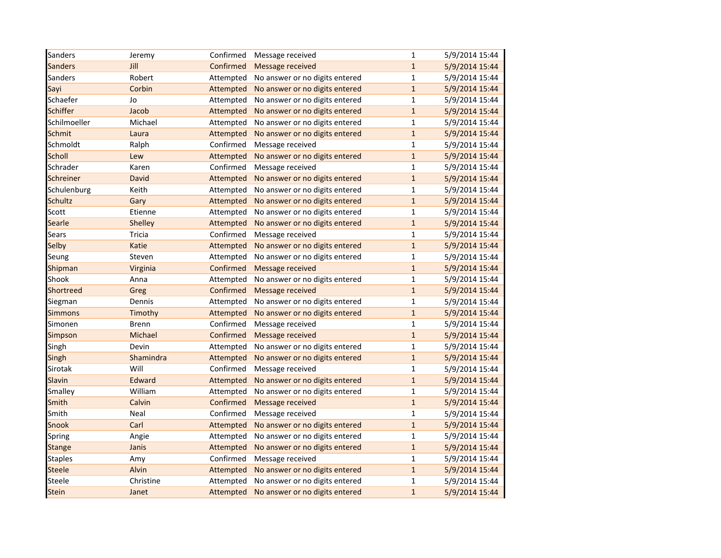| Sanders         | Jeremy    | Confirmed | Message received               | $\mathbf{1}$ | 5/9/2014 15:44 |
|-----------------|-----------|-----------|--------------------------------|--------------|----------------|
| <b>Sanders</b>  | Jill      | Confirmed | Message received               | $\mathbf{1}$ | 5/9/2014 15:44 |
| Sanders         | Robert    | Attempted | No answer or no digits entered | $\mathbf{1}$ | 5/9/2014 15:44 |
| Sayi            | Corbin    | Attempted | No answer or no digits entered | $\mathbf{1}$ | 5/9/2014 15:44 |
| Schaefer        | Jo        | Attempted | No answer or no digits entered | $\mathbf{1}$ | 5/9/2014 15:44 |
| <b>Schiffer</b> | Jacob     | Attempted | No answer or no digits entered | $\mathbf{1}$ | 5/9/2014 15:44 |
| Schilmoeller    | Michael   | Attempted | No answer or no digits entered | $\mathbf{1}$ | 5/9/2014 15:44 |
| Schmit          | Laura     | Attempted | No answer or no digits entered | $\mathbf{1}$ | 5/9/2014 15:44 |
| Schmoldt        | Ralph     | Confirmed | Message received               | $\mathbf{1}$ | 5/9/2014 15:44 |
| <b>Scholl</b>   | Lew       | Attempted | No answer or no digits entered | $\mathbf{1}$ | 5/9/2014 15:44 |
| Schrader        | Karen     | Confirmed | Message received               | $\mathbf{1}$ | 5/9/2014 15:44 |
| Schreiner       | David     | Attempted | No answer or no digits entered | $\mathbf{1}$ | 5/9/2014 15:44 |
| Schulenburg     | Keith     | Attempted | No answer or no digits entered | $\mathbf 1$  | 5/9/2014 15:44 |
| <b>Schultz</b>  | Gary      | Attempted | No answer or no digits entered | $\mathbf{1}$ | 5/9/2014 15:44 |
| Scott           | Etienne   | Attempted | No answer or no digits entered | $\mathbf 1$  | 5/9/2014 15:44 |
| Searle          | Shelley   | Attempted | No answer or no digits entered | $\mathbf{1}$ | 5/9/2014 15:44 |
| Sears           | Tricia    | Confirmed | Message received               | $\mathbf{1}$ | 5/9/2014 15:44 |
| Selby           | Katie     | Attempted | No answer or no digits entered | $\mathbf{1}$ | 5/9/2014 15:44 |
| Seung           | Steven    | Attempted | No answer or no digits entered | $\mathbf{1}$ | 5/9/2014 15:44 |
| Shipman         | Virginia  | Confirmed | Message received               | $\mathbf{1}$ | 5/9/2014 15:44 |
| Shook           | Anna      | Attempted | No answer or no digits entered | $\mathbf 1$  | 5/9/2014 15:44 |
| Shortreed       | Greg      | Confirmed | Message received               | $\mathbf{1}$ | 5/9/2014 15:44 |
| Siegman         | Dennis    | Attempted | No answer or no digits entered | $\mathbf{1}$ | 5/9/2014 15:44 |
| <b>Simmons</b>  | Timothy   | Attempted | No answer or no digits entered | $\mathbf{1}$ | 5/9/2014 15:44 |
| Simonen         | Brenn     | Confirmed | Message received               | $\mathbf 1$  | 5/9/2014 15:44 |
| <b>Simpson</b>  | Michael   | Confirmed | Message received               | $\mathbf{1}$ | 5/9/2014 15:44 |
| Singh           | Devin     | Attempted | No answer or no digits entered | $\mathbf{1}$ | 5/9/2014 15:44 |
| Singh           | Shamindra | Attempted | No answer or no digits entered | $\mathbf{1}$ | 5/9/2014 15:44 |
| Sirotak         | Will      | Confirmed | Message received               | $\mathbf{1}$ | 5/9/2014 15:44 |
| Slavin          | Edward    | Attempted | No answer or no digits entered | $\mathbf{1}$ | 5/9/2014 15:44 |
| Smalley         | William   | Attempted | No answer or no digits entered | $\mathbf{1}$ | 5/9/2014 15:44 |
| Smith           | Calvin    | Confirmed | Message received               | $\mathbf{1}$ | 5/9/2014 15:44 |
| Smith           | Neal      | Confirmed | Message received               | $\mathbf{1}$ | 5/9/2014 15:44 |
| Snook           | Carl      | Attempted | No answer or no digits entered | $\mathbf{1}$ | 5/9/2014 15:44 |
| Spring          | Angie     | Attempted | No answer or no digits entered | $\mathbf 1$  | 5/9/2014 15:44 |
| <b>Stange</b>   | Janis     | Attempted | No answer or no digits entered | $\mathbf{1}$ | 5/9/2014 15:44 |
| <b>Staples</b>  | Amy       | Confirmed | Message received               | $\mathbf{1}$ | 5/9/2014 15:44 |
| <b>Steele</b>   | Alvin     | Attempted | No answer or no digits entered | $\mathbf{1}$ | 5/9/2014 15:44 |
| Steele          | Christine | Attempted | No answer or no digits entered | $\mathbf{1}$ | 5/9/2014 15:44 |
| <b>Stein</b>    | Janet     | Attempted | No answer or no digits entered | $\mathbf{1}$ | 5/9/2014 15:44 |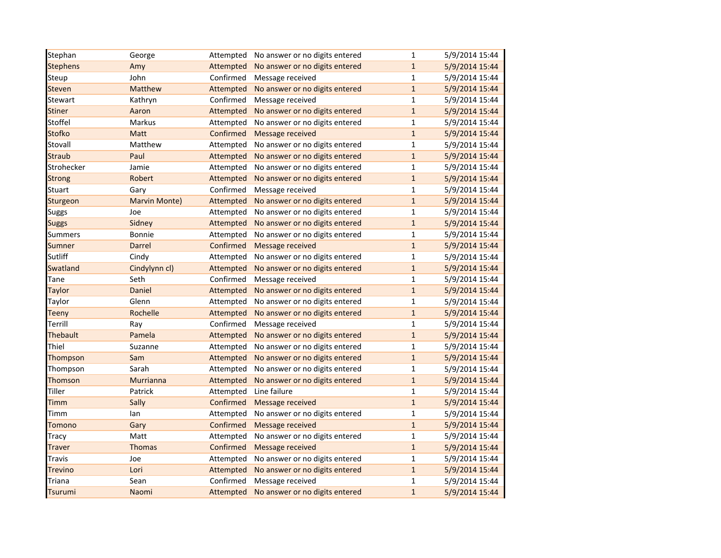| Stephan         | George         |           | Attempted No answer or no digits entered | $\mathbf{1}$ | 5/9/2014 15:44 |
|-----------------|----------------|-----------|------------------------------------------|--------------|----------------|
| <b>Stephens</b> | Amy            | Attempted | No answer or no digits entered           | $\mathbf{1}$ | 5/9/2014 15:44 |
| Steup           | John           | Confirmed | Message received                         | $\mathbf{1}$ | 5/9/2014 15:44 |
| Steven          | <b>Matthew</b> | Attempted | No answer or no digits entered           | $\mathbf 1$  | 5/9/2014 15:44 |
| Stewart         | Kathryn        | Confirmed | Message received                         | $\mathbf{1}$ | 5/9/2014 15:44 |
| Stiner          | Aaron          | Attempted | No answer or no digits entered           | $\mathbf{1}$ | 5/9/2014 15:44 |
| Stoffel         | Markus         | Attempted | No answer or no digits entered           | $\mathbf 1$  | 5/9/2014 15:44 |
| <b>Stofko</b>   | Matt           | Confirmed | Message received                         | $\mathbf{1}$ | 5/9/2014 15:44 |
| Stovall         | Matthew        | Attempted | No answer or no digits entered           | $\mathbf 1$  | 5/9/2014 15:44 |
| <b>Straub</b>   | Paul           | Attempted | No answer or no digits entered           | $\mathbf 1$  | 5/9/2014 15:44 |
| Strohecker      | Jamie          | Attempted | No answer or no digits entered           | $\mathbf{1}$ | 5/9/2014 15:44 |
| <b>Strong</b>   | Robert         | Attempted | No answer or no digits entered           | $\mathbf{1}$ | 5/9/2014 15:44 |
| Stuart          | Gary           | Confirmed | Message received                         | $\mathbf{1}$ | 5/9/2014 15:44 |
| Sturgeon        | Marvin Monte)  | Attempted | No answer or no digits entered           | $\mathbf{1}$ | 5/9/2014 15:44 |
| <b>Suggs</b>    | Joe            | Attempted | No answer or no digits entered           | $\mathbf{1}$ | 5/9/2014 15:44 |
| <b>Suggs</b>    | Sidney         | Attempted | No answer or no digits entered           | $\mathbf{1}$ | 5/9/2014 15:44 |
| <b>Summers</b>  | Bonnie         | Attempted | No answer or no digits entered           | $\mathbf{1}$ | 5/9/2014 15:44 |
| Sumner          | Darrel         | Confirmed | Message received                         | $\mathbf{1}$ | 5/9/2014 15:44 |
| Sutliff         | Cindy          | Attempted | No answer or no digits entered           | $\mathbf 1$  | 5/9/2014 15:44 |
| Swatland        | Cindylynn cl)  | Attempted | No answer or no digits entered           | $\mathbf{1}$ | 5/9/2014 15:44 |
| Tane            | Seth           | Confirmed | Message received                         | $\mathbf 1$  | 5/9/2014 15:44 |
| <b>Taylor</b>   | Daniel         | Attempted | No answer or no digits entered           | $\mathbf{1}$ | 5/9/2014 15:44 |
| Taylor          | Glenn          | Attempted | No answer or no digits entered           | $\mathbf{1}$ | 5/9/2014 15:44 |
| <b>Teeny</b>    | Rochelle       | Attempted | No answer or no digits entered           | $\mathbf{1}$ | 5/9/2014 15:44 |
| Terrill         | Ray            | Confirmed | Message received                         | $\mathbf{1}$ | 5/9/2014 15:44 |
| Thebault        | Pamela         | Attempted | No answer or no digits entered           | $\mathbf{1}$ | 5/9/2014 15:44 |
| Thiel           | Suzanne        | Attempted | No answer or no digits entered           | $\mathbf{1}$ | 5/9/2014 15:44 |
| Thompson        | Sam            | Attempted | No answer or no digits entered           | $\mathbf 1$  | 5/9/2014 15:44 |
| Thompson        | Sarah          | Attempted | No answer or no digits entered           | $\mathbf{1}$ | 5/9/2014 15:44 |
| Thomson         | Murrianna      | Attempted | No answer or no digits entered           | $\mathbf{1}$ | 5/9/2014 15:44 |
| Tiller          | Patrick        | Attempted | Line failure                             | $\mathbf{1}$ | 5/9/2014 15:44 |
| Timm            | Sally          | Confirmed | Message received                         | $\mathbf{1}$ | 5/9/2014 15:44 |
| Timm            | lan            | Attempted | No answer or no digits entered           | $\mathbf 1$  | 5/9/2014 15:44 |
| <b>Tomono</b>   | Gary           | Confirmed | Message received                         | $\mathbf{1}$ | 5/9/2014 15:44 |
| <b>Tracy</b>    | Matt           | Attempted | No answer or no digits entered           | $\mathbf 1$  | 5/9/2014 15:44 |
| <b>Traver</b>   | <b>Thomas</b>  | Confirmed | Message received                         | $\mathbf 1$  | 5/9/2014 15:44 |
| <b>Travis</b>   | Joe            | Attempted | No answer or no digits entered           | $\mathbf{1}$ | 5/9/2014 15:44 |
| Trevino         | Lori           | Attempted | No answer or no digits entered           | $\mathbf{1}$ | 5/9/2014 15:44 |
| Triana          | Sean           | Confirmed | Message received                         | $\mathbf 1$  | 5/9/2014 15:44 |
| <b>Tsurumi</b>  | Naomi          | Attempted | No answer or no digits entered           | $\mathbf{1}$ | 5/9/2014 15:44 |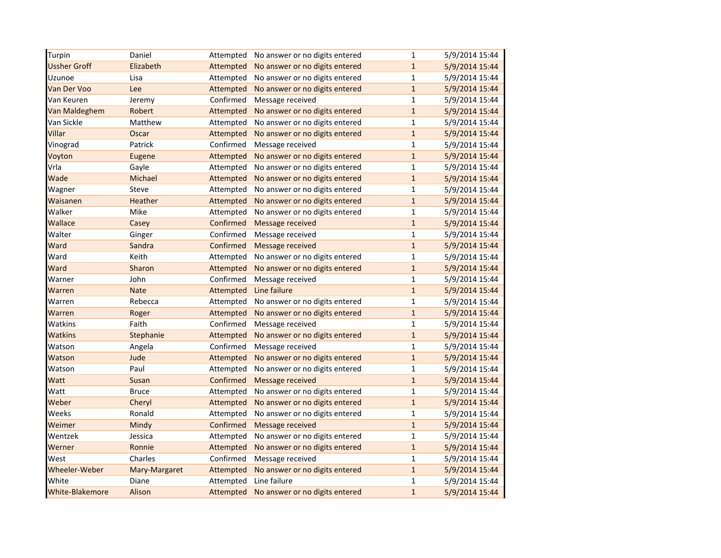| Turpin                 | Daniel        | Attempted | No answer or no digits entered | $\mathbf 1$  | 5/9/2014 15:44 |
|------------------------|---------------|-----------|--------------------------------|--------------|----------------|
| <b>Ussher Groff</b>    | Elizabeth     | Attempted | No answer or no digits entered | $\mathbf{1}$ | 5/9/2014 15:44 |
| Uzunoe                 | Lisa          | Attempted | No answer or no digits entered | $\mathbf{1}$ | 5/9/2014 15:44 |
| Van Der Voo            | Lee           | Attempted | No answer or no digits entered | $\mathbf{1}$ | 5/9/2014 15:44 |
| Van Keuren             | Jeremy        | Confirmed | Message received               | $\mathbf{1}$ | 5/9/2014 15:44 |
| Van Maldeghem          | Robert        | Attempted | No answer or no digits entered | $\mathbf{1}$ | 5/9/2014 15:44 |
| Van Sickle             | Matthew       | Attempted | No answer or no digits entered | $\mathbf{1}$ | 5/9/2014 15:44 |
| Villar                 | Oscar         | Attempted | No answer or no digits entered | $\mathbf{1}$ | 5/9/2014 15:44 |
| Vinograd               | Patrick       | Confirmed | Message received               | $\mathbf{1}$ | 5/9/2014 15:44 |
| Voyton                 | Eugene        | Attempted | No answer or no digits entered | $\mathbf{1}$ | 5/9/2014 15:44 |
| Vrla                   | Gayle         | Attempted | No answer or no digits entered | $\mathbf{1}$ | 5/9/2014 15:44 |
| Wade                   | Michael       | Attempted | No answer or no digits entered | $\mathbf{1}$ | 5/9/2014 15:44 |
| Wagner                 | Steve         | Attempted | No answer or no digits entered | $\mathbf{1}$ | 5/9/2014 15:44 |
| Waisanen               | Heather       | Attempted | No answer or no digits entered | $\mathbf{1}$ | 5/9/2014 15:44 |
| Walker                 | Mike          | Attempted | No answer or no digits entered | $\mathbf{1}$ | 5/9/2014 15:44 |
| Wallace                | Casey         | Confirmed | Message received               | $\mathbf{1}$ | 5/9/2014 15:44 |
| Walter                 | Ginger        | Confirmed | Message received               | $\mathbf{1}$ | 5/9/2014 15:44 |
| Ward                   | Sandra        | Confirmed | Message received               | $\mathbf{1}$ | 5/9/2014 15:44 |
| Ward                   | Keith         | Attempted | No answer or no digits entered | $\mathbf{1}$ | 5/9/2014 15:44 |
| Ward                   | Sharon        | Attempted | No answer or no digits entered | $\mathbf{1}$ | 5/9/2014 15:44 |
| Warner                 | John          | Confirmed | Message received               | $\mathbf{1}$ | 5/9/2014 15:44 |
| Warren                 | <b>Nate</b>   | Attempted | Line failure                   | $\mathbf{1}$ | 5/9/2014 15:44 |
| Warren                 | Rebecca       | Attempted | No answer or no digits entered | $\mathbf{1}$ | 5/9/2014 15:44 |
| Warren                 | Roger         | Attempted | No answer or no digits entered | $\mathbf{1}$ | 5/9/2014 15:44 |
| Watkins                | Faith         | Confirmed | Message received               | $\mathbf{1}$ | 5/9/2014 15:44 |
| <b>Watkins</b>         | Stephanie     | Attempted | No answer or no digits entered | $\mathbf{1}$ | 5/9/2014 15:44 |
| Watson                 | Angela        | Confirmed | Message received               | $\mathbf{1}$ | 5/9/2014 15:44 |
| Watson                 | Jude          | Attempted | No answer or no digits entered | $\mathbf{1}$ | 5/9/2014 15:44 |
| Watson                 | Paul          | Attempted | No answer or no digits entered | $\mathbf{1}$ | 5/9/2014 15:44 |
| Watt                   | Susan         | Confirmed | Message received               | $\mathbf{1}$ | 5/9/2014 15:44 |
| Watt                   | <b>Bruce</b>  | Attempted | No answer or no digits entered | $\mathbf{1}$ | 5/9/2014 15:44 |
| Weber                  | Cheryl        | Attempted | No answer or no digits entered | $\mathbf{1}$ | 5/9/2014 15:44 |
| Weeks                  | Ronald        | Attempted | No answer or no digits entered | $\mathbf{1}$ | 5/9/2014 15:44 |
| Weimer                 | Mindy         | Confirmed | Message received               | $\mathbf{1}$ | 5/9/2014 15:44 |
| Wentzek                | Jessica       | Attempted | No answer or no digits entered | $\mathbf{1}$ | 5/9/2014 15:44 |
| Werner                 | Ronnie        | Attempted | No answer or no digits entered | $\mathbf{1}$ | 5/9/2014 15:44 |
| West                   | Charles       | Confirmed | Message received               | $\mathbf{1}$ | 5/9/2014 15:44 |
| Wheeler-Weber          | Mary-Margaret | Attempted | No answer or no digits entered | $\mathbf{1}$ | 5/9/2014 15:44 |
| White                  | Diane         | Attempted | Line failure                   | $\mathbf{1}$ | 5/9/2014 15:44 |
| <b>White-Blakemore</b> | Alison        | Attempted | No answer or no digits entered | $\mathbf{1}$ | 5/9/2014 15:44 |